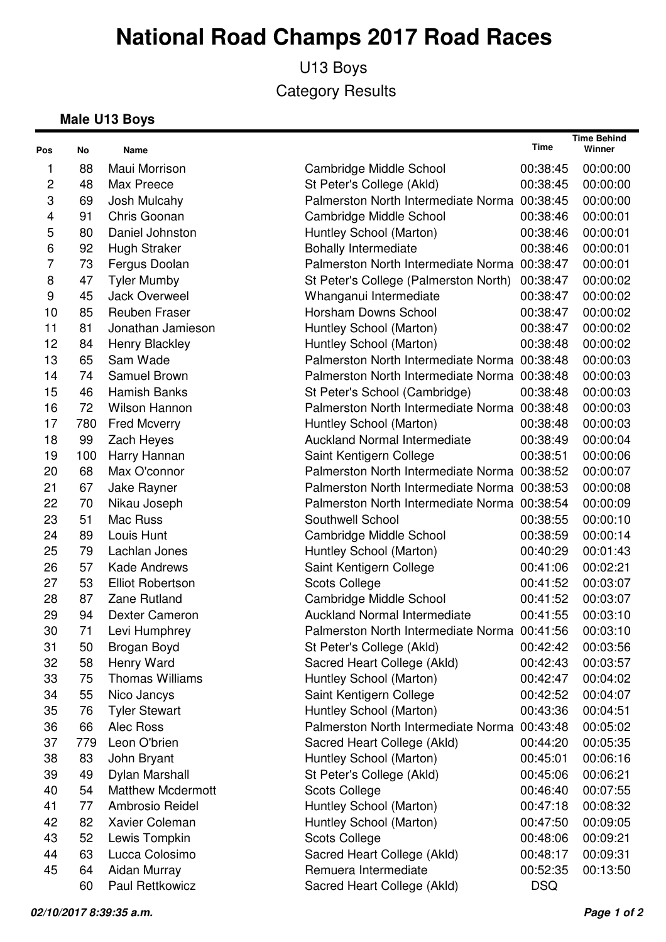U13 Boys Category Results

#### **Male U13 Boys**

| Pos              | No  | Name                     |                                              | Time       | <b>Time Behind</b><br>Winner |
|------------------|-----|--------------------------|----------------------------------------------|------------|------------------------------|
| 1                | 88  | Maui Morrison            | Cambridge Middle School                      | 00:38:45   | 00:00:00                     |
| 2                | 48  | Max Preece               | St Peter's College (Akld)                    | 00:38:45   | 00:00:00                     |
| 3                | 69  | Josh Mulcahy             | Palmerston North Intermediate Norma 00:38:45 |            | 00:00:00                     |
| 4                | 91  | Chris Goonan             | Cambridge Middle School                      | 00:38:46   | 00:00:01                     |
| 5                | 80  | Daniel Johnston          | Huntley School (Marton)                      | 00:38:46   | 00:00:01                     |
| 6                | 92  | <b>Hugh Straker</b>      | <b>Bohally Intermediate</b>                  | 00:38:46   | 00:00:01                     |
| 7                | 73  | Fergus Doolan            | Palmerston North Intermediate Norma 00:38:47 |            | 00:00:01                     |
| 8                | 47  | <b>Tyler Mumby</b>       | St Peter's College (Palmerston North)        | 00:38:47   | 00:00:02                     |
| $\boldsymbol{9}$ | 45  | Jack Overweel            | Whanganui Intermediate                       | 00:38:47   | 00:00:02                     |
| 10               | 85  | <b>Reuben Fraser</b>     | Horsham Downs School                         | 00:38:47   | 00:00:02                     |
| 11               | 81  | Jonathan Jamieson        | Huntley School (Marton)                      | 00:38:47   | 00:00:02                     |
| 12               | 84  | Henry Blackley           | Huntley School (Marton)                      | 00:38:48   | 00:00:02                     |
| 13               | 65  | Sam Wade                 | Palmerston North Intermediate Norma 00:38:48 |            | 00:00:03                     |
| 14               | 74  | Samuel Brown             | Palmerston North Intermediate Norma 00:38:48 |            | 00:00:03                     |
| 15               | 46  | Hamish Banks             | St Peter's School (Cambridge)                | 00:38:48   | 00:00:03                     |
| 16               | 72  | <b>Wilson Hannon</b>     | Palmerston North Intermediate Norma 00:38:48 |            | 00:00:03                     |
| 17               | 780 | <b>Fred Mcverry</b>      | Huntley School (Marton)                      | 00:38:48   | 00:00:03                     |
| 18               | 99  | Zach Heyes               | <b>Auckland Normal Intermediate</b>          | 00:38:49   | 00:00:04                     |
| 19               | 100 | Harry Hannan             | Saint Kentigern College                      | 00:38:51   | 00:00:06                     |
| 20               | 68  | Max O'connor             | Palmerston North Intermediate Norma 00:38:52 |            | 00:00:07                     |
| 21               | 67  | Jake Rayner              | Palmerston North Intermediate Norma 00:38:53 |            | 00:00:08                     |
| 22               | 70  | Nikau Joseph             | Palmerston North Intermediate Norma 00:38:54 |            | 00:00:09                     |
| 23               | 51  | Mac Russ                 | Southwell School                             | 00:38:55   | 00:00:10                     |
| 24               | 89  | Louis Hunt               | Cambridge Middle School                      | 00:38:59   | 00:00:14                     |
| 25               | 79  | Lachlan Jones            | Huntley School (Marton)                      | 00:40:29   | 00:01:43                     |
| 26               | 57  | <b>Kade Andrews</b>      | Saint Kentigern College                      | 00:41:06   | 00:02:21                     |
| 27               | 53  | <b>Elliot Robertson</b>  | <b>Scots College</b>                         | 00:41:52   | 00:03:07                     |
| 28               | 87  | Zane Rutland             | Cambridge Middle School                      | 00:41:52   | 00:03:07                     |
| 29               | 94  | <b>Dexter Cameron</b>    | <b>Auckland Normal Intermediate</b>          | 00:41:55   | 00:03:10                     |
| 30               | 71  | Levi Humphrey            | Palmerston North Intermediate Norma 00:41:56 |            | 00:03:10                     |
| 31               | 50  | Brogan Boyd              | St Peter's College (Akld)                    | 00:42:42   | 00:03:56                     |
| 32               | 58  | Henry Ward               | Sacred Heart College (Akld)                  | 00:42:43   | 00:03:57                     |
| 33               | 75  | <b>Thomas Williams</b>   | Huntley School (Marton)                      | 00:42:47   | 00:04:02                     |
| 34               | 55  | Nico Jancys              | Saint Kentigern College                      | 00:42:52   | 00:04:07                     |
| 35               | 76  | <b>Tyler Stewart</b>     | Huntley School (Marton)                      | 00:43:36   | 00:04:51                     |
| 36               | 66  | Alec Ross                | Palmerston North Intermediate Norma 00:43:48 |            | 00:05:02                     |
| 37               | 779 | Leon O'brien             | Sacred Heart College (Akld)                  | 00:44:20   | 00:05:35                     |
| 38               | 83  | John Bryant              | Huntley School (Marton)                      | 00:45:01   | 00:06:16                     |
| 39               | 49  | Dylan Marshall           | St Peter's College (Akld)                    | 00:45:06   | 00:06:21                     |
| 40               | 54  | <b>Matthew Mcdermott</b> | <b>Scots College</b>                         | 00:46:40   | 00:07:55                     |
| 41               | 77  | Ambrosio Reidel          | Huntley School (Marton)                      | 00:47:18   | 00:08:32                     |
| 42               | 82  | Xavier Coleman           | Huntley School (Marton)                      | 00:47:50   | 00:09:05                     |
| 43               | 52  | Lewis Tompkin            | <b>Scots College</b>                         | 00:48:06   | 00:09:21                     |
| 44               | 63  | Lucca Colosimo           | Sacred Heart College (Akld)                  | 00:48:17   | 00:09:31                     |
| 45               | 64  | Aidan Murray             | Remuera Intermediate                         | 00:52:35   | 00:13:50                     |
|                  | 60  | Paul Rettkowicz          | Sacred Heart College (Akld)                  | <b>DSQ</b> |                              |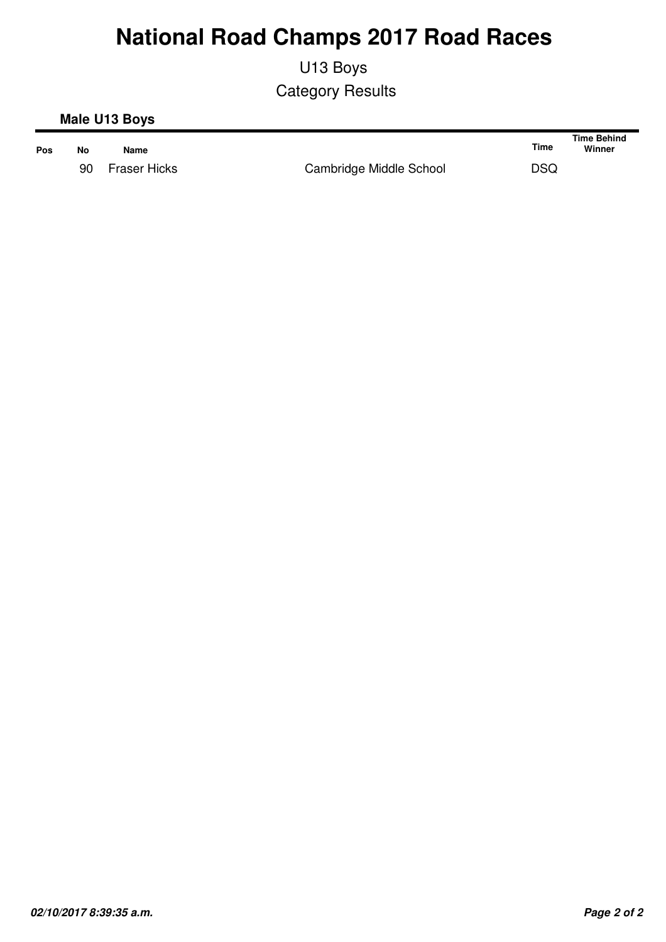U13 Boys Category Results

#### **Male U13 Boys**

| Pos | No | Name         |                         | Time       | Time Behind<br>Winner |
|-----|----|--------------|-------------------------|------------|-----------------------|
|     | 90 | Fraser Hicks | Cambridge Middle School | <b>DSQ</b> |                       |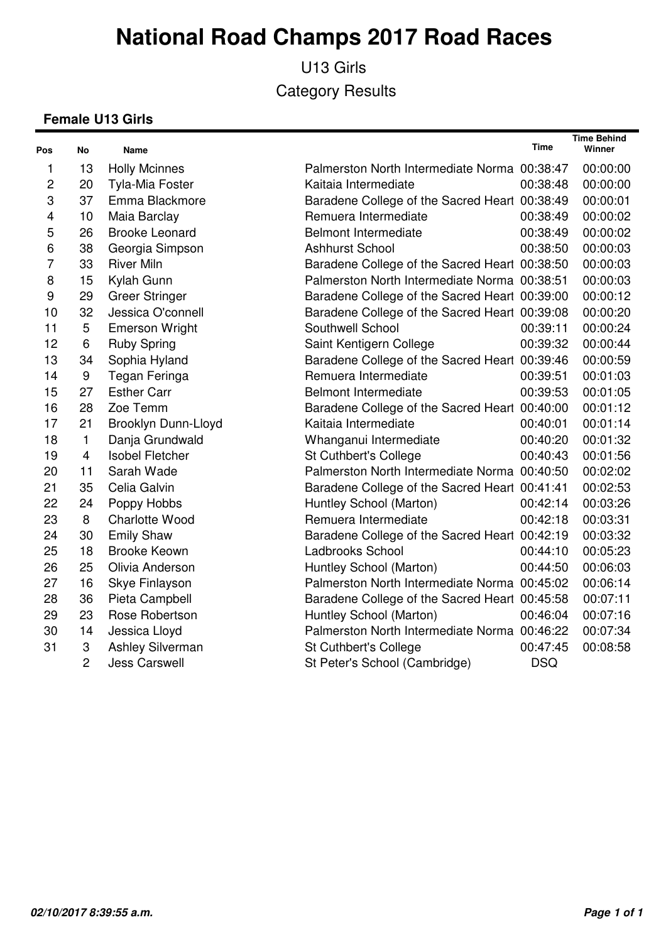U13 Girls Category Results

#### **Female U13 Girls**

| Pos                     | No             | <b>Name</b>             |                                               | <b>Time</b> | <b>Time Behind</b><br>Winner |
|-------------------------|----------------|-------------------------|-----------------------------------------------|-------------|------------------------------|
| 1                       | 13             | <b>Holly Mcinnes</b>    | Palmerston North Intermediate Norma 00:38:47  |             | 00:00:00                     |
| $\overline{c}$          | 20             | <b>Tyla-Mia Foster</b>  | Kaitaia Intermediate                          | 00:38:48    | 00:00:00                     |
| 3                       | 37             | Emma Blackmore          | Baradene College of the Sacred Heart 00:38:49 |             | 00:00:01                     |
| $\overline{\mathbf{4}}$ | 10             | Maia Barclay            | Remuera Intermediate                          | 00:38:49    | 00:00:02                     |
| 5                       | 26             | <b>Brooke Leonard</b>   | <b>Belmont Intermediate</b>                   | 00:38:49    | 00:00:02                     |
| 6                       | 38             | Georgia Simpson         | <b>Ashhurst School</b>                        | 00:38:50    | 00:00:03                     |
| $\overline{7}$          | 33             | <b>River Miln</b>       | Baradene College of the Sacred Heart 00:38:50 |             | 00:00:03                     |
| 8                       | 15             | Kylah Gunn              | Palmerston North Intermediate Norma 00:38:51  |             | 00:00:03                     |
| 9                       | 29             | <b>Greer Stringer</b>   | Baradene College of the Sacred Heart 00:39:00 |             | 00:00:12                     |
| 10                      | 32             | Jessica O'connell       | Baradene College of the Sacred Heart 00:39:08 |             | 00:00:20                     |
| 11                      | 5              | <b>Emerson Wright</b>   | Southwell School                              | 00:39:11    | 00:00:24                     |
| 12                      | 6              | <b>Ruby Spring</b>      | Saint Kentigern College                       | 00:39:32    | 00:00:44                     |
| 13                      | 34             | Sophia Hyland           | Baradene College of the Sacred Heart 00:39:46 |             | 00:00:59                     |
| 14                      | 9              | Tegan Feringa           | Remuera Intermediate                          | 00:39:51    | 00:01:03                     |
| 15                      | 27             | <b>Esther Carr</b>      | <b>Belmont Intermediate</b>                   | 00:39:53    | 00:01:05                     |
| 16                      | 28             | Zoe Temm                | Baradene College of the Sacred Heart 00:40:00 |             | 00:01:12                     |
| 17                      | 21             | Brooklyn Dunn-Lloyd     | Kaitaia Intermediate                          | 00:40:01    | 00:01:14                     |
| 18                      | $\mathbf{1}$   | Danja Grundwald         | Whanganui Intermediate                        | 00:40:20    | 00:01:32                     |
| 19                      | $\overline{4}$ | <b>Isobel Fletcher</b>  | St Cuthbert's College                         | 00:40:43    | 00:01:56                     |
| 20                      | 11             | Sarah Wade              | Palmerston North Intermediate Norma 00:40:50  |             | 00:02:02                     |
| 21                      | 35             | Celia Galvin            | Baradene College of the Sacred Heart 00:41:41 |             | 00:02:53                     |
| 22                      | 24             | Poppy Hobbs             | Huntley School (Marton)                       | 00:42:14    | 00:03:26                     |
| 23                      | 8              | <b>Charlotte Wood</b>   | Remuera Intermediate                          | 00:42:18    | 00:03:31                     |
| 24                      | 30             | <b>Emily Shaw</b>       | Baradene College of the Sacred Heart 00:42:19 |             | 00:03:32                     |
| 25                      | 18             | <b>Brooke Keown</b>     | Ladbrooks School                              | 00:44:10    | 00:05:23                     |
| 26                      | 25             | Olivia Anderson         | Huntley School (Marton)                       | 00:44:50    | 00:06:03                     |
| 27                      | 16             | Skye Finlayson          | Palmerston North Intermediate Norma 00:45:02  |             | 00:06:14                     |
| 28                      | 36             | Pieta Campbell          | Baradene College of the Sacred Heart 00:45:58 |             | 00:07:11                     |
| 29                      | 23             | Rose Robertson          | Huntley School (Marton)                       | 00:46:04    | 00:07:16                     |
| 30                      | 14             | Jessica Lloyd           | Palmerston North Intermediate Norma 00:46:22  |             | 00:07:34                     |
| 31                      | 3              | <b>Ashley Silverman</b> | St Cuthbert's College                         | 00:47:45    | 00:08:58                     |
|                         | $\overline{2}$ | <b>Jess Carswell</b>    | St Peter's School (Cambridge)                 | <b>DSQ</b>  |                              |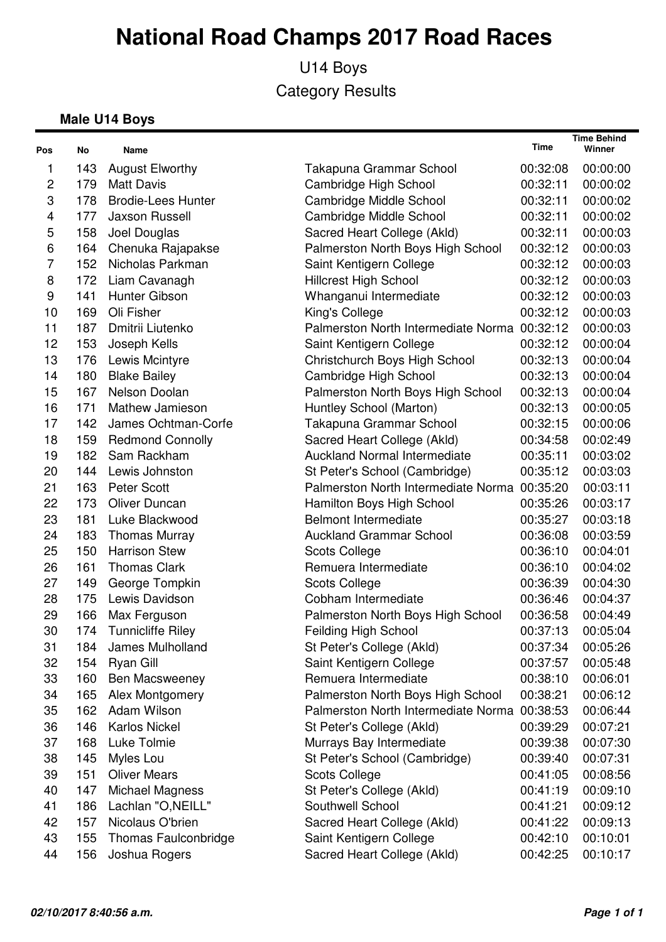U14 Boys Category Results

#### **Male U14 Boys**

| Pos            | No  | Name                      |                                              | Time     | <b>Time Behind</b><br>Winner |
|----------------|-----|---------------------------|----------------------------------------------|----------|------------------------------|
| 1              | 143 | <b>August Elworthy</b>    | Takapuna Grammar School                      | 00:32:08 | 00:00:00                     |
| $\overline{c}$ | 179 | <b>Matt Davis</b>         | Cambridge High School                        | 00:32:11 | 00:00:02                     |
| 3              | 178 | <b>Brodie-Lees Hunter</b> | Cambridge Middle School                      | 00:32:11 | 00:00:02                     |
| 4              | 177 | <b>Jaxson Russell</b>     | <b>Cambridge Middle School</b>               | 00:32:11 | 00:00:02                     |
| 5              | 158 | Joel Douglas              | Sacred Heart College (Akld)                  | 00:32:11 | 00:00:03                     |
| 6              | 164 | Chenuka Rajapakse         | Palmerston North Boys High School            | 00:32:12 | 00:00:03                     |
| $\overline{7}$ | 152 | Nicholas Parkman          | Saint Kentigern College                      | 00:32:12 | 00:00:03                     |
| 8              | 172 | Liam Cavanagh             | <b>Hillcrest High School</b>                 | 00:32:12 | 00:00:03                     |
| 9              | 141 | Hunter Gibson             | Whanganui Intermediate                       | 00:32:12 | 00:00:03                     |
| 10             | 169 | Oli Fisher                | King's College                               | 00:32:12 | 00:00:03                     |
| 11             | 187 | Dmitrii Liutenko          | Palmerston North Intermediate Norma 00:32:12 |          | 00:00:03                     |
| 12             | 153 | Joseph Kells              | Saint Kentigern College                      | 00:32:12 | 00:00:04                     |
| 13             | 176 | Lewis Mcintyre            | Christchurch Boys High School                | 00:32:13 | 00:00:04                     |
| 14             | 180 | <b>Blake Bailey</b>       | Cambridge High School                        | 00:32:13 | 00:00:04                     |
| 15             | 167 | Nelson Doolan             | Palmerston North Boys High School            | 00:32:13 | 00:00:04                     |
| 16             | 171 | <b>Mathew Jamieson</b>    | Huntley School (Marton)                      | 00:32:13 | 00:00:05                     |
| 17             | 142 | James Ochtman-Corfe       | Takapuna Grammar School                      | 00:32:15 | 00:00:06                     |
| 18             | 159 | <b>Redmond Connolly</b>   | Sacred Heart College (Akld)                  | 00:34:58 | 00:02:49                     |
| 19             | 182 | Sam Rackham               | <b>Auckland Normal Intermediate</b>          | 00:35:11 | 00:03:02                     |
| 20             | 144 | Lewis Johnston            | St Peter's School (Cambridge)                | 00:35:12 | 00:03:03                     |
| 21             | 163 | <b>Peter Scott</b>        | Palmerston North Intermediate Norma 00:35:20 |          | 00:03:11                     |
| 22             | 173 | Oliver Duncan             | Hamilton Boys High School                    | 00:35:26 | 00:03:17                     |
| 23             | 181 | Luke Blackwood            | <b>Belmont Intermediate</b>                  | 00:35:27 | 00:03:18                     |
| 24             | 183 | <b>Thomas Murray</b>      | <b>Auckland Grammar School</b>               | 00:36:08 | 00:03:59                     |
| 25             | 150 | <b>Harrison Stew</b>      | <b>Scots College</b>                         | 00:36:10 | 00:04:01                     |
| 26             | 161 | <b>Thomas Clark</b>       | Remuera Intermediate                         | 00:36:10 | 00:04:02                     |
| 27             | 149 | George Tompkin            | <b>Scots College</b>                         | 00:36:39 | 00:04:30                     |
| 28             | 175 | Lewis Davidson            | Cobham Intermediate                          | 00:36:46 | 00:04:37                     |
| 29             | 166 | Max Ferguson              | Palmerston North Boys High School            | 00:36:58 | 00:04:49                     |
| 30             | 174 | <b>Tunnicliffe Riley</b>  | <b>Feilding High School</b>                  | 00:37:13 | 00:05:04                     |
| 31             | 184 | James Mulholland          | St Peter's College (Akld)                    | 00:37:34 | 00:05:26                     |
| 32             | 154 | Ryan Gill                 | Saint Kentigern College                      | 00:37:57 | 00:05:48                     |
| 33             | 160 | Ben Macsweeney            | Remuera Intermediate                         | 00:38:10 | 00:06:01                     |
| 34             | 165 | Alex Montgomery           | Palmerston North Boys High School            | 00:38:21 | 00:06:12                     |
| 35             | 162 | Adam Wilson               | Palmerston North Intermediate Norma          | 00:38:53 | 00:06:44                     |
| 36             | 146 | <b>Karlos Nickel</b>      | St Peter's College (Akld)                    | 00:39:29 | 00:07:21                     |
| 37             | 168 | Luke Tolmie               | Murrays Bay Intermediate                     | 00:39:38 | 00:07:30                     |
| 38             | 145 | Myles Lou                 | St Peter's School (Cambridge)                | 00:39:40 | 00:07:31                     |
| 39             | 151 | <b>Oliver Mears</b>       | <b>Scots College</b>                         | 00:41:05 | 00:08:56                     |
| 40             | 147 | <b>Michael Magness</b>    | St Peter's College (Akld)                    | 00:41:19 | 00:09:10                     |
| 41             | 186 | Lachlan "O, NEILL"        | Southwell School                             | 00:41:21 | 00:09:12                     |
| 42             | 157 | Nicolaus O'brien          | Sacred Heart College (Akld)                  | 00:41:22 | 00:09:13                     |
| 43             | 155 | Thomas Faulconbridge      | Saint Kentigern College                      | 00:42:10 | 00:10:01                     |
| 44             | 156 | Joshua Rogers             | Sacred Heart College (Akld)                  | 00:42:25 | 00:10:17                     |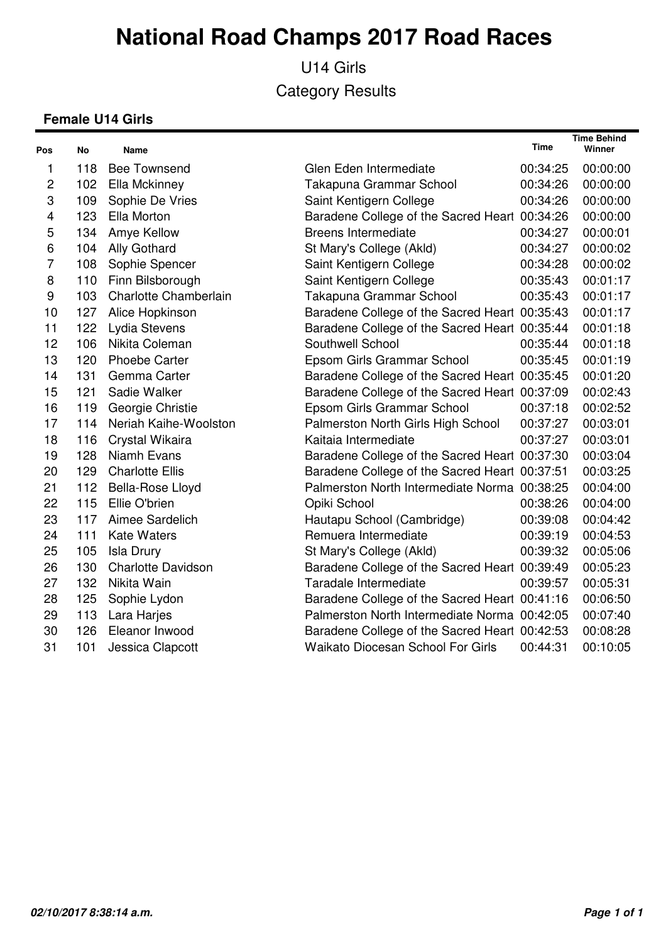U14 Girls Category Results

#### **Female U14 Girls**

| Pos                       | No  | Name                      |                                               | Time     | <b>Time Behind</b><br>Winner |
|---------------------------|-----|---------------------------|-----------------------------------------------|----------|------------------------------|
| 1                         | 118 | <b>Bee Townsend</b>       | Glen Eden Intermediate                        | 00:34:25 | 00:00:00                     |
| 2                         | 102 | Ella Mckinney             | Takapuna Grammar School                       | 00:34:26 | 00:00:00                     |
| $\ensuremath{\mathsf{3}}$ | 109 | Sophie De Vries           | Saint Kentigern College                       | 00:34:26 | 00:00:00                     |
| $\overline{\mathbf{4}}$   | 123 | Ella Morton               | Baradene College of the Sacred Heart 00:34:26 |          | 00:00:00                     |
| 5                         | 134 | Amye Kellow               | <b>Breens Intermediate</b>                    | 00:34:27 | 00:00:01                     |
| $\,6$                     | 104 | Ally Gothard              | St Mary's College (Akld)                      | 00:34:27 | 00:00:02                     |
| $\overline{7}$            | 108 | Sophie Spencer            | Saint Kentigern College                       | 00:34:28 | 00:00:02                     |
| 8                         | 110 | Finn Bilsborough          | Saint Kentigern College                       | 00:35:43 | 00:01:17                     |
| $\boldsymbol{9}$          | 103 | Charlotte Chamberlain     | Takapuna Grammar School                       | 00:35:43 | 00:01:17                     |
| 10                        | 127 | Alice Hopkinson           | Baradene College of the Sacred Heart 00:35:43 |          | 00:01:17                     |
| 11                        | 122 | Lydia Stevens             | Baradene College of the Sacred Heart 00:35:44 |          | 00:01:18                     |
| 12                        | 106 | Nikita Coleman            | Southwell School                              | 00:35:44 | 00:01:18                     |
| 13                        | 120 | <b>Phoebe Carter</b>      | Epsom Girls Grammar School                    | 00:35:45 | 00:01:19                     |
| 14                        | 131 | Gemma Carter              | Baradene College of the Sacred Heart 00:35:45 |          | 00:01:20                     |
| 15                        | 121 | Sadie Walker              | Baradene College of the Sacred Heart 00:37:09 |          | 00:02:43                     |
| 16                        | 119 | Georgie Christie          | Epsom Girls Grammar School                    | 00:37:18 | 00:02:52                     |
| 17                        | 114 | Neriah Kaihe-Woolston     | Palmerston North Girls High School            | 00:37:27 | 00:03:01                     |
| 18                        | 116 | Crystal Wikaira           | Kaitaia Intermediate                          | 00:37:27 | 00:03:01                     |
| 19                        | 128 | Niamh Evans               | Baradene College of the Sacred Heart 00:37:30 |          | 00:03:04                     |
| 20                        | 129 | <b>Charlotte Ellis</b>    | Baradene College of the Sacred Heart 00:37:51 |          | 00:03:25                     |
| 21                        | 112 | Bella-Rose Lloyd          | Palmerston North Intermediate Norma 00:38:25  |          | 00:04:00                     |
| 22                        | 115 | Ellie O'brien             | Opiki School                                  | 00:38:26 | 00:04:00                     |
| 23                        | 117 | Aimee Sardelich           | Hautapu School (Cambridge)                    | 00:39:08 | 00:04:42                     |
| 24                        | 111 | <b>Kate Waters</b>        | Remuera Intermediate                          | 00:39:19 | 00:04:53                     |
| 25                        | 105 | <b>Isla Drury</b>         | St Mary's College (Akld)                      | 00:39:32 | 00:05:06                     |
| 26                        | 130 | <b>Charlotte Davidson</b> | Baradene College of the Sacred Heart 00:39:49 |          | 00:05:23                     |
| 27                        | 132 | Nikita Wain               | Taradale Intermediate                         | 00:39:57 | 00:05:31                     |
| 28                        | 125 | Sophie Lydon              | Baradene College of the Sacred Heart 00:41:16 |          | 00:06:50                     |
| 29                        | 113 | Lara Harjes               | Palmerston North Intermediate Norma 00:42:05  |          | 00:07:40                     |
| 30                        | 126 | Eleanor Inwood            | Baradene College of the Sacred Heart 00:42:53 |          | 00:08:28                     |
| 31                        | 101 | Jessica Clapcott          | <b>Waikato Diocesan School For Girls</b>      | 00:44:31 | 00:10:05                     |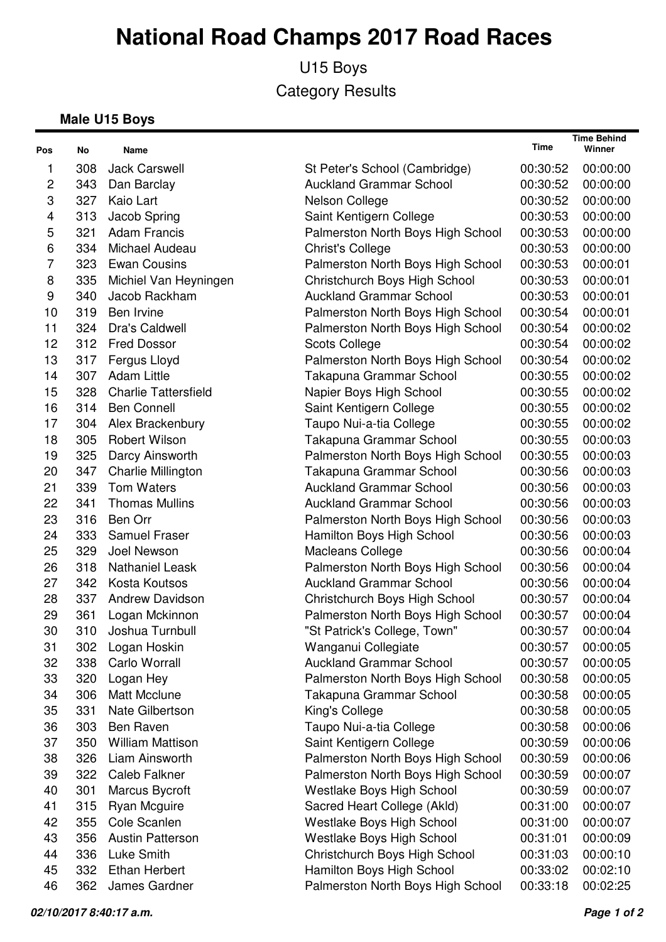U15 Boys Category Results

#### **Male U15 Boys**

| Pos | No  | Name                        |                                   | Time     | <b>Time Behind</b><br>Winner |
|-----|-----|-----------------------------|-----------------------------------|----------|------------------------------|
| 1   | 308 | <b>Jack Carswell</b>        | St Peter's School (Cambridge)     | 00:30:52 | 00:00:00                     |
| 2   | 343 | Dan Barclay                 | <b>Auckland Grammar School</b>    | 00:30:52 | 00:00:00                     |
| 3   | 327 | Kaio Lart                   | Nelson College                    | 00:30:52 | 00:00:00                     |
| 4   | 313 | Jacob Spring                | Saint Kentigern College           | 00:30:53 | 00:00:00                     |
| 5   | 321 | <b>Adam Francis</b>         | Palmerston North Boys High School | 00:30:53 | 00:00:00                     |
| 6   | 334 | Michael Audeau              | <b>Christ's College</b>           | 00:30:53 | 00:00:00                     |
| 7   | 323 | <b>Ewan Cousins</b>         | Palmerston North Boys High School | 00:30:53 | 00:00:01                     |
| 8   | 335 | Michiel Van Heyningen       | Christchurch Boys High School     | 00:30:53 | 00:00:01                     |
| 9   | 340 | Jacob Rackham               | <b>Auckland Grammar School</b>    | 00:30:53 | 00:00:01                     |
| 10  | 319 | Ben Irvine                  | Palmerston North Boys High School | 00:30:54 | 00:00:01                     |
| 11  | 324 | Dra's Caldwell              | Palmerston North Boys High School | 00:30:54 | 00:00:02                     |
| 12  | 312 | <b>Fred Dossor</b>          | <b>Scots College</b>              | 00:30:54 | 00:00:02                     |
| 13  | 317 | Fergus Lloyd                | Palmerston North Boys High School | 00:30:54 | 00:00:02                     |
| 14  | 307 | <b>Adam Little</b>          | Takapuna Grammar School           | 00:30:55 | 00:00:02                     |
| 15  | 328 | <b>Charlie Tattersfield</b> | Napier Boys High School           | 00:30:55 | 00:00:02                     |
| 16  | 314 | <b>Ben Connell</b>          | Saint Kentigern College           | 00:30:55 | 00:00:02                     |
| 17  | 304 | Alex Brackenbury            | Taupo Nui-a-tia College           | 00:30:55 | 00:00:02                     |
| 18  | 305 | <b>Robert Wilson</b>        | Takapuna Grammar School           | 00:30:55 | 00:00:03                     |
| 19  | 325 | Darcy Ainsworth             | Palmerston North Boys High School | 00:30:55 | 00:00:03                     |
| 20  | 347 | Charlie Millington          | Takapuna Grammar School           | 00:30:56 | 00:00:03                     |
| 21  | 339 | <b>Tom Waters</b>           | <b>Auckland Grammar School</b>    | 00:30:56 | 00:00:03                     |
| 22  | 341 | <b>Thomas Mullins</b>       | <b>Auckland Grammar School</b>    | 00:30:56 | 00:00:03                     |
| 23  | 316 | Ben Orr                     | Palmerston North Boys High School | 00:30:56 | 00:00:03                     |
| 24  | 333 | <b>Samuel Fraser</b>        | Hamilton Boys High School         | 00:30:56 | 00:00:03                     |
| 25  | 329 | Joel Newson                 | Macleans College                  | 00:30:56 | 00:00:04                     |
| 26  | 318 | <b>Nathaniel Leask</b>      | Palmerston North Boys High School | 00:30:56 | 00:00:04                     |
| 27  | 342 | <b>Kosta Koutsos</b>        | <b>Auckland Grammar School</b>    | 00:30:56 | 00:00:04                     |
| 28  | 337 | <b>Andrew Davidson</b>      | Christchurch Boys High School     | 00:30:57 | 00:00:04                     |
| 29  | 361 | Logan Mckinnon              | Palmerston North Boys High School | 00:30:57 | 00:00:04                     |
| 30  | 310 | Joshua Turnbull             | "St Patrick's College, Town"      | 00:30:57 | 00:00:04                     |
| 31  | 302 | Logan Hoskin                | Wanganui Collegiate               | 00:30:57 | 00:00:05                     |
| 32  | 338 | Carlo Worrall               | <b>Auckland Grammar School</b>    | 00:30:57 | 00:00:05                     |
| 33  | 320 | Logan Hey                   | Palmerston North Boys High School | 00:30:58 | 00:00:05                     |
| 34  | 306 | <b>Matt Mcclune</b>         | Takapuna Grammar School           | 00:30:58 | 00:00:05                     |
| 35  | 331 | Nate Gilbertson             | King's College                    | 00:30:58 | 00:00:05                     |
| 36  | 303 | <b>Ben Raven</b>            | Taupo Nui-a-tia College           | 00:30:58 | 00:00:06                     |
| 37  | 350 | <b>William Mattison</b>     | Saint Kentigern College           | 00:30:59 | 00:00:06                     |
| 38  | 326 | Liam Ainsworth              | Palmerston North Boys High School | 00:30:59 | 00:00:06                     |
| 39  | 322 | <b>Caleb Falkner</b>        | Palmerston North Boys High School | 00:30:59 | 00:00:07                     |
| 40  | 301 | Marcus Bycroft              | Westlake Boys High School         | 00:30:59 | 00:00:07                     |
| 41  | 315 | <b>Ryan Mcguire</b>         | Sacred Heart College (Akld)       | 00:31:00 | 00:00:07                     |
| 42  | 355 | Cole Scanlen                | Westlake Boys High School         | 00:31:00 | 00:00:07                     |
| 43  | 356 | <b>Austin Patterson</b>     | Westlake Boys High School         | 00:31:01 | 00:00:09                     |
| 44  | 336 | Luke Smith                  | Christchurch Boys High School     | 00:31:03 | 00:00:10                     |
| 45  | 332 | <b>Ethan Herbert</b>        | Hamilton Boys High School         | 00:33:02 | 00:02:10                     |
| 46  | 362 | James Gardner               | Palmerston North Boys High School | 00:33:18 | 00:02:25                     |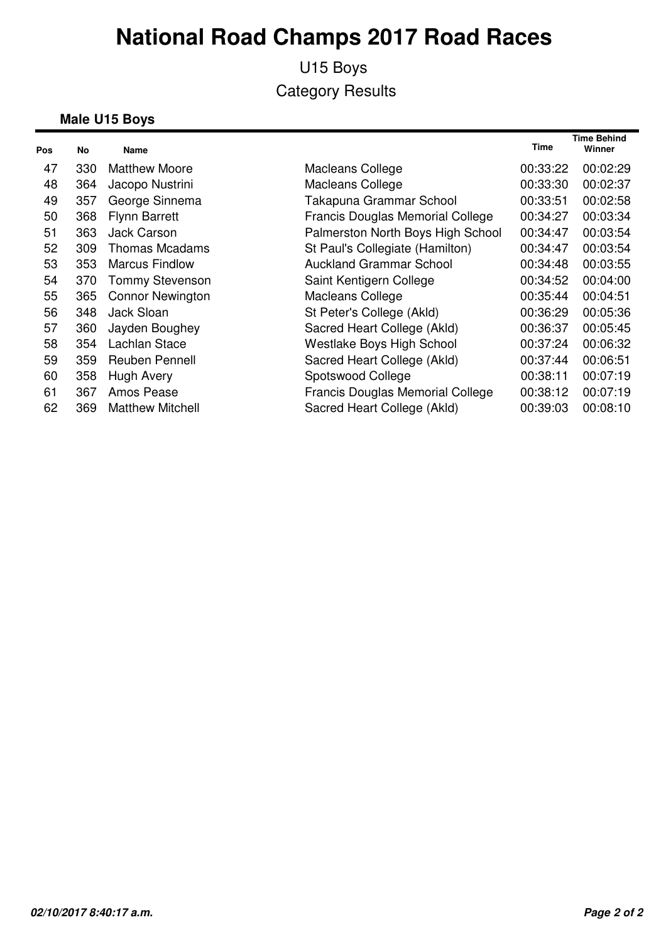### U15 Boys Category Results

#### **Male U15 Boys**

| Pos | No  | <b>Name</b>             |                                   | <b>Time</b> | Time Behind<br>Winner |
|-----|-----|-------------------------|-----------------------------------|-------------|-----------------------|
| 47  | 330 | <b>Matthew Moore</b>    | Macleans College                  | 00:33:22    | 00:02:29              |
| 48  | 364 | Jacopo Nustrini         | Macleans College                  | 00:33:30    | 00:02:37              |
| 49  | 357 | George Sinnema          | Takapuna Grammar School           | 00:33:51    | 00:02:58              |
| 50  | 368 | <b>Flynn Barrett</b>    | Francis Douglas Memorial College  | 00:34:27    | 00:03:34              |
| 51  | 363 | <b>Jack Carson</b>      | Palmerston North Boys High School | 00:34:47    | 00:03:54              |
| 52  | 309 | <b>Thomas Mcadams</b>   | St Paul's Collegiate (Hamilton)   | 00:34:47    | 00:03:54              |
| 53  | 353 | <b>Marcus Findlow</b>   | <b>Auckland Grammar School</b>    | 00:34:48    | 00:03:55              |
| 54  | 370 | <b>Tommy Stevenson</b>  | Saint Kentigern College           | 00:34:52    | 00:04:00              |
| 55  | 365 | <b>Connor Newington</b> | Macleans College                  | 00:35:44    | 00:04:51              |
| 56  | 348 | Jack Sloan              | St Peter's College (Akld)         | 00:36:29    | 00:05:36              |
| 57  | 360 | Jayden Boughey          | Sacred Heart College (Akld)       | 00:36:37    | 00:05:45              |
| 58  | 354 | Lachlan Stace           | Westlake Boys High School         | 00:37:24    | 00:06:32              |
| 59  | 359 | <b>Reuben Pennell</b>   | Sacred Heart College (Akld)       | 00:37:44    | 00:06:51              |
| 60  | 358 | Hugh Avery              | Spotswood College                 | 00:38:11    | 00:07:19              |
| 61  | 367 | Amos Pease              | Francis Douglas Memorial College  | 00:38:12    | 00:07:19              |
| 62  | 369 | <b>Matthew Mitchell</b> | Sacred Heart College (Akld)       | 00:39:03    | 00:08:10              |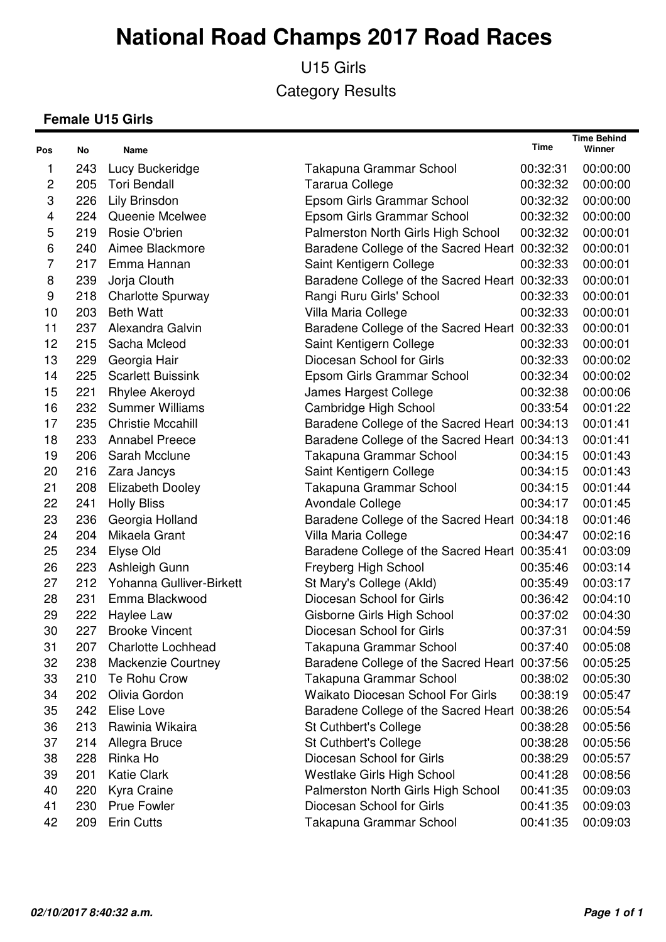U15 Girls Category Results

#### **Female U15 Girls**

| Pos            | No  | Name                      |                                               | Time     | <b>Time Behind</b><br>Winner |
|----------------|-----|---------------------------|-----------------------------------------------|----------|------------------------------|
| 1              | 243 | Lucy Buckeridge           | Takapuna Grammar School                       | 00:32:31 | 00:00:00                     |
| $\overline{c}$ | 205 | <b>Tori Bendall</b>       | Tararua College                               | 00:32:32 | 00:00:00                     |
| 3              | 226 | Lily Brinsdon             | Epsom Girls Grammar School                    | 00:32:32 | 00:00:00                     |
| 4              | 224 | Queenie Mcelwee           | Epsom Girls Grammar School                    | 00:32:32 | 00:00:00                     |
| 5              | 219 | Rosie O'brien             | Palmerston North Girls High School            | 00:32:32 | 00:00:01                     |
| 6              | 240 | Aimee Blackmore           | Baradene College of the Sacred Heart 00:32:32 |          | 00:00:01                     |
| 7              | 217 | Emma Hannan               | Saint Kentigern College                       | 00:32:33 | 00:00:01                     |
| 8              | 239 | Jorja Clouth              | Baradene College of the Sacred Heart 00:32:33 |          | 00:00:01                     |
| 9              | 218 | Charlotte Spurway         | Rangi Ruru Girls' School                      | 00:32:33 | 00:00:01                     |
| 10             | 203 | <b>Beth Watt</b>          | Villa Maria College                           | 00:32:33 | 00:00:01                     |
| 11             | 237 | Alexandra Galvin          | Baradene College of the Sacred Heart 00:32:33 |          | 00:00:01                     |
| 12             | 215 | Sacha Mcleod              | Saint Kentigern College                       | 00:32:33 | 00:00:01                     |
| 13             | 229 | Georgia Hair              | Diocesan School for Girls                     | 00:32:33 | 00:00:02                     |
| 14             | 225 | <b>Scarlett Buissink</b>  | Epsom Girls Grammar School                    | 00:32:34 | 00:00:02                     |
| 15             | 221 | Rhylee Akeroyd            | James Hargest College                         | 00:32:38 | 00:00:06                     |
| 16             | 232 | <b>Summer Williams</b>    | Cambridge High School                         | 00:33:54 | 00:01:22                     |
| 17             | 235 | <b>Christie Mccahill</b>  | Baradene College of the Sacred Heart 00:34:13 |          | 00:01:41                     |
| 18             | 233 | <b>Annabel Preece</b>     | Baradene College of the Sacred Heart 00:34:13 |          | 00:01:41                     |
| 19             | 206 | Sarah Mcclune             | Takapuna Grammar School                       | 00:34:15 | 00:01:43                     |
| 20             | 216 | Zara Jancys               | Saint Kentigern College                       | 00:34:15 | 00:01:43                     |
| 21             | 208 | <b>Elizabeth Dooley</b>   | Takapuna Grammar School                       | 00:34:15 | 00:01:44                     |
| 22             | 241 | <b>Holly Bliss</b>        | Avondale College                              | 00:34:17 | 00:01:45                     |
| 23             | 236 | Georgia Holland           | Baradene College of the Sacred Heart 00:34:18 |          | 00:01:46                     |
| 24             | 204 | Mikaela Grant             | Villa Maria College                           | 00:34:47 | 00:02:16                     |
| 25             | 234 | Elyse Old                 | Baradene College of the Sacred Heart 00:35:41 |          | 00:03:09                     |
| 26             | 223 | Ashleigh Gunn             | Freyberg High School                          | 00:35:46 | 00:03:14                     |
| 27             | 212 | Yohanna Gulliver-Birkett  | St Mary's College (Akld)                      | 00:35:49 | 00:03:17                     |
| 28             | 231 | Emma Blackwood            | Diocesan School for Girls                     | 00:36:42 | 00:04:10                     |
| 29             | 222 | Haylee Law                | Gisborne Girls High School                    | 00:37:02 | 00:04:30                     |
| 30             | 227 | <b>Brooke Vincent</b>     | Diocesan School for Girls                     | 00:37:31 | 00:04:59                     |
| 31             | 207 | <b>Charlotte Lochhead</b> | Takapuna Grammar School                       | 00:37:40 | 00:05:08                     |
| 32             | 238 | Mackenzie Courtney        | Baradene College of the Sacred Heart 00:37:56 |          | 00:05:25                     |
| 33             | 210 | Te Rohu Crow              | Takapuna Grammar School                       | 00:38:02 | 00:05:30                     |
| 34             | 202 | Olivia Gordon             | <b>Waikato Diocesan School For Girls</b>      | 00:38:19 | 00:05:47                     |
| 35             | 242 | Elise Love                | Baradene College of the Sacred Heart          | 00:38:26 | 00:05:54                     |
| 36             | 213 | Rawinia Wikaira           | St Cuthbert's College                         | 00:38:28 | 00:05:56                     |
| 37             | 214 | Allegra Bruce             | St Cuthbert's College                         | 00:38:28 | 00:05:56                     |
| 38             | 228 | Rinka Ho                  | Diocesan School for Girls                     | 00:38:29 | 00:05:57                     |
| 39             | 201 | <b>Katie Clark</b>        | Westlake Girls High School                    | 00:41:28 | 00:08:56                     |
| 40             | 220 | Kyra Craine               | Palmerston North Girls High School            | 00:41:35 | 00:09:03                     |
| 41             | 230 | <b>Prue Fowler</b>        | Diocesan School for Girls                     | 00:41:35 | 00:09:03                     |
| 42             | 209 | <b>Erin Cutts</b>         | Takapuna Grammar School                       | 00:41:35 | 00:09:03                     |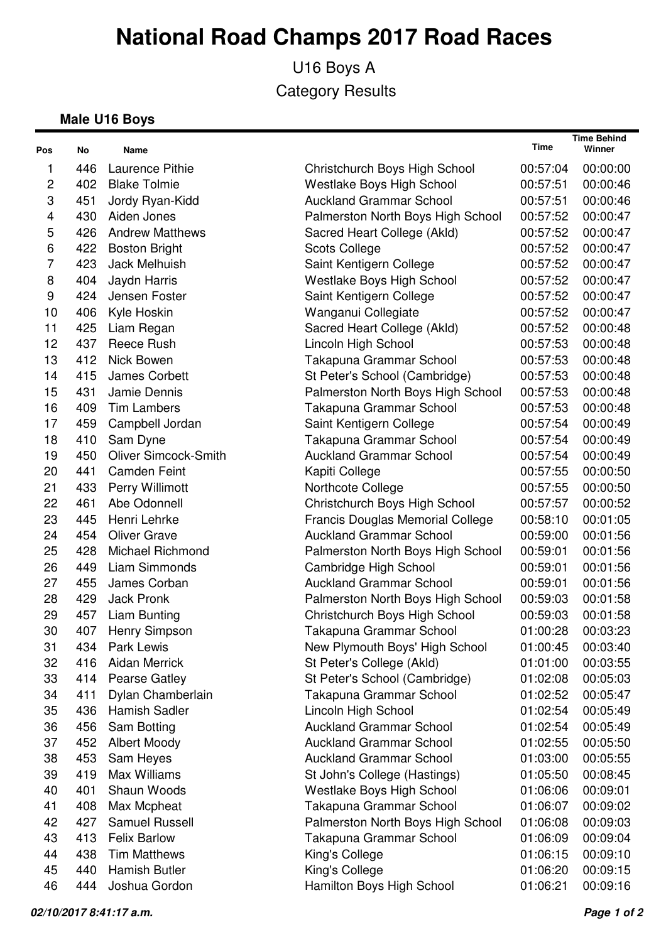U16 Boys A Category Results

#### **Male U16 Boys**

| Pos          | No  | Name                        |                                         | Time     | <b>Time Behind</b><br>Winner |
|--------------|-----|-----------------------------|-----------------------------------------|----------|------------------------------|
| 1            | 446 | Laurence Pithie             | Christchurch Boys High School           | 00:57:04 | 00:00:00                     |
| $\mathbf{2}$ | 402 | <b>Blake Tolmie</b>         | Westlake Boys High School               | 00:57:51 | 00:00:46                     |
| 3            | 451 | Jordy Ryan-Kidd             | <b>Auckland Grammar School</b>          | 00:57:51 | 00:00:46                     |
| 4            | 430 | Aiden Jones                 | Palmerston North Boys High School       | 00:57:52 | 00:00:47                     |
| 5            | 426 | <b>Andrew Matthews</b>      | Sacred Heart College (Akld)             | 00:57:52 | 00:00:47                     |
| 6            | 422 | <b>Boston Bright</b>        | <b>Scots College</b>                    | 00:57:52 | 00:00:47                     |
| 7            | 423 | Jack Melhuish               | Saint Kentigern College                 | 00:57:52 | 00:00:47                     |
| 8            | 404 | Jaydn Harris                | Westlake Boys High School               | 00:57:52 | 00:00:47                     |
| 9            | 424 | Jensen Foster               | Saint Kentigern College                 | 00:57:52 | 00:00:47                     |
| 10           | 406 | Kyle Hoskin                 | Wanganui Collegiate                     | 00:57:52 | 00:00:47                     |
| 11           | 425 | Liam Regan                  | Sacred Heart College (Akld)             | 00:57:52 | 00:00:48                     |
| 12           | 437 | Reece Rush                  | Lincoln High School                     | 00:57:53 | 00:00:48                     |
| 13           | 412 | Nick Bowen                  | Takapuna Grammar School                 | 00:57:53 | 00:00:48                     |
| 14           | 415 | James Corbett               | St Peter's School (Cambridge)           | 00:57:53 | 00:00:48                     |
| 15           | 431 | Jamie Dennis                | Palmerston North Boys High School       | 00:57:53 | 00:00:48                     |
| 16           | 409 | <b>Tim Lambers</b>          | Takapuna Grammar School                 | 00:57:53 | 00:00:48                     |
| 17           | 459 | Campbell Jordan             | Saint Kentigern College                 | 00:57:54 | 00:00:49                     |
| 18           | 410 | Sam Dyne                    | Takapuna Grammar School                 | 00:57:54 | 00:00:49                     |
| 19           | 450 | <b>Oliver Simcock-Smith</b> | <b>Auckland Grammar School</b>          | 00:57:54 | 00:00:49                     |
| 20           | 441 | <b>Camden Feint</b>         | Kapiti College                          | 00:57:55 | 00:00:50                     |
| 21           | 433 | Perry Willimott             | Northcote College                       | 00:57:55 | 00:00:50                     |
| 22           | 461 | Abe Odonnell                | Christchurch Boys High School           | 00:57:57 | 00:00:52                     |
| 23           | 445 | Henri Lehrke                | <b>Francis Douglas Memorial College</b> | 00:58:10 | 00:01:05                     |
| 24           | 454 | <b>Oliver Grave</b>         | <b>Auckland Grammar School</b>          | 00:59:00 | 00:01:56                     |
| 25           | 428 | <b>Michael Richmond</b>     | Palmerston North Boys High School       | 00:59:01 | 00:01:56                     |
| 26           | 449 | Liam Simmonds               | Cambridge High School                   | 00:59:01 | 00:01:56                     |
| 27           | 455 | James Corban                | <b>Auckland Grammar School</b>          | 00:59:01 | 00:01:56                     |
| 28           | 429 | <b>Jack Pronk</b>           | Palmerston North Boys High School       | 00:59:03 | 00:01:58                     |
| 29           | 457 | Liam Bunting                | Christchurch Boys High School           | 00:59:03 | 00:01:58                     |
| 30           | 407 | Henry Simpson               | Takapuna Grammar School                 | 01:00:28 | 00:03:23                     |
| 31           | 434 | <b>Park Lewis</b>           | New Plymouth Boys' High School          | 01:00:45 | 00:03:40                     |
| 32           | 416 | <b>Aidan Merrick</b>        | St Peter's College (Akld)               | 01:01:00 | 00:03:55                     |
| 33           | 414 | <b>Pearse Gatley</b>        | St Peter's School (Cambridge)           | 01:02:08 | 00:05:03                     |
| 34           | 411 | Dylan Chamberlain           | Takapuna Grammar School                 | 01:02:52 | 00:05:47                     |
| 35           | 436 | <b>Hamish Sadler</b>        | Lincoln High School                     | 01:02:54 | 00:05:49                     |
| 36           | 456 | Sam Botting                 | <b>Auckland Grammar School</b>          | 01:02:54 | 00:05:49                     |
| 37           | 452 | <b>Albert Moody</b>         | <b>Auckland Grammar School</b>          | 01:02:55 | 00:05:50                     |
| 38           | 453 | Sam Heyes                   | <b>Auckland Grammar School</b>          | 01:03:00 | 00:05:55                     |
| 39           | 419 | Max Williams                | St John's College (Hastings)            | 01:05:50 | 00:08:45                     |
| 40           | 401 | Shaun Woods                 | Westlake Boys High School               | 01:06:06 | 00:09:01                     |
| 41           | 408 | Max Mcpheat                 | Takapuna Grammar School                 | 01:06:07 | 00:09:02                     |
| 42           | 427 | <b>Samuel Russell</b>       | Palmerston North Boys High School       | 01:06:08 | 00:09:03                     |
| 43           | 413 | <b>Felix Barlow</b>         | Takapuna Grammar School                 | 01:06:09 | 00:09:04                     |
| 44           | 438 | <b>Tim Matthews</b>         | King's College                          | 01:06:15 | 00:09:10                     |
| 45           | 440 | <b>Hamish Butler</b>        | King's College                          | 01:06:20 | 00:09:15                     |
| 46           | 444 | Joshua Gordon               | Hamilton Boys High School               | 01:06:21 | 00:09:16                     |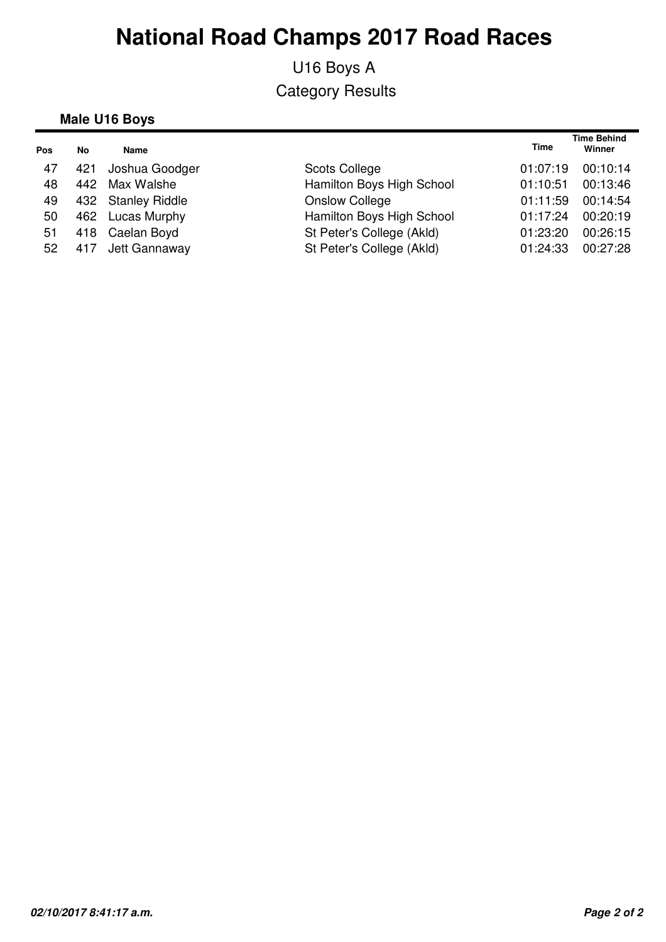U16 Boys A Category Results

#### **Male U16 Boys**

| No  | <b>Name</b>    |                                                                                | <b>Time</b> | <b>Time Behind</b><br>Winner |
|-----|----------------|--------------------------------------------------------------------------------|-------------|------------------------------|
| 421 | Joshua Goodger | Scots College                                                                  | 01:07:19    | 00:10:14                     |
| 442 | Max Walshe     | Hamilton Boys High School                                                      | 01:10:51    | 00:13:46                     |
|     |                | <b>Onslow College</b>                                                          | 01:11:59    | 00:14:54                     |
|     |                | Hamilton Boys High School                                                      | 01:17:24    | 00:20:19                     |
|     |                | St Peter's College (Akld)                                                      | 01:23:20    | 00:26:15                     |
|     |                | St Peter's College (Akld)                                                      | 01:24:33    | 00:27:28                     |
|     |                | 432 Stanley Riddle<br>462 Lucas Murphy<br>418 Caelan Boyd<br>417 Jett Gannaway |             |                              |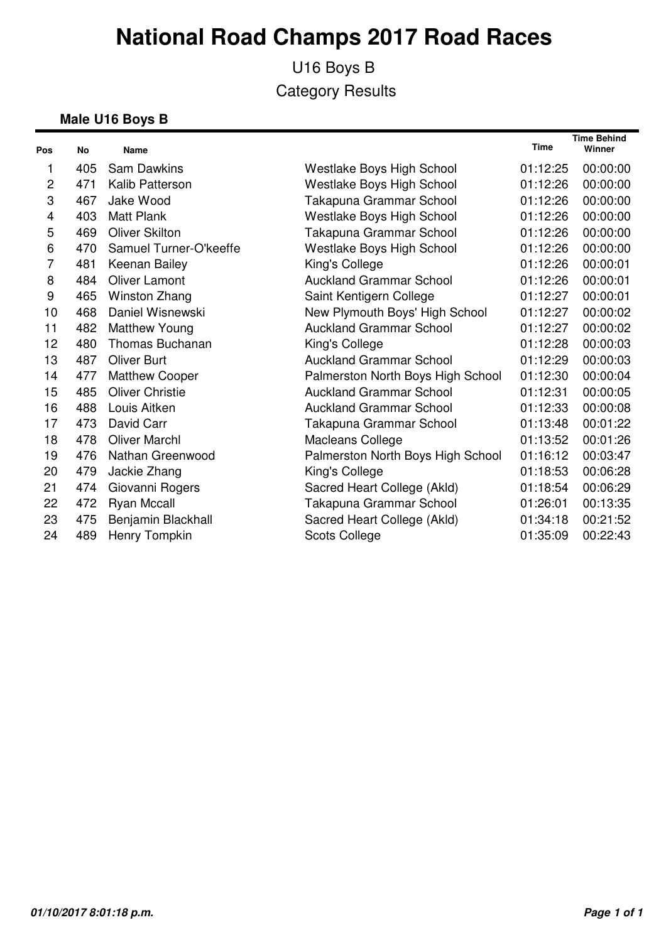U16 Boys B Category Results

#### **Male U16 Boys B**

| Pos            | <b>No</b> | <b>Name</b>            |                                   | <b>Time</b> | <b>Time Behind</b><br>Winner |
|----------------|-----------|------------------------|-----------------------------------|-------------|------------------------------|
| 1              | 405       | <b>Sam Dawkins</b>     | Westlake Boys High School         | 01:12:25    | 00:00:00                     |
| $\overline{c}$ | 471       | Kalib Patterson        | Westlake Boys High School         | 01:12:26    | 00:00:00                     |
| 3              | 467       | Jake Wood              | Takapuna Grammar School           | 01:12:26    | 00:00:00                     |
| 4              | 403       | <b>Matt Plank</b>      | Westlake Boys High School         | 01:12:26    | 00:00:00                     |
| 5              | 469       | Oliver Skilton         | Takapuna Grammar School           | 01:12:26    | 00:00:00                     |
| 6              | 470       | Samuel Turner-O'keeffe | Westlake Boys High School         | 01:12:26    | 00:00:00                     |
| 7              | 481       | Keenan Bailey          | King's College                    | 01:12:26    | 00:00:01                     |
| 8              | 484       | <b>Oliver Lamont</b>   | <b>Auckland Grammar School</b>    | 01:12:26    | 00:00:01                     |
| 9              | 465       | Winston Zhang          | Saint Kentigern College           | 01:12:27    | 00:00:01                     |
| 10             | 468       | Daniel Wisnewski       | New Plymouth Boys' High School    | 01:12:27    | 00:00:02                     |
| 11             | 482       | Matthew Young          | <b>Auckland Grammar School</b>    | 01:12:27    | 00:00:02                     |
| 12             | 480       | <b>Thomas Buchanan</b> | King's College                    | 01:12:28    | 00:00:03                     |
| 13             | 487       | <b>Oliver Burt</b>     | <b>Auckland Grammar School</b>    | 01:12:29    | 00:00:03                     |
| 14             | 477       | <b>Matthew Cooper</b>  | Palmerston North Boys High School | 01:12:30    | 00:00:04                     |
| 15             | 485       | <b>Oliver Christie</b> | <b>Auckland Grammar School</b>    | 01:12:31    | 00:00:05                     |
| 16             | 488       | Louis Aitken           | <b>Auckland Grammar School</b>    | 01:12:33    | 00:00:08                     |
| 17             | 473       | David Carr             | Takapuna Grammar School           | 01:13:48    | 00:01:22                     |
| 18             | 478       | <b>Oliver Marchl</b>   | Macleans College                  | 01:13:52    | 00:01:26                     |
| 19             | 476       | Nathan Greenwood       | Palmerston North Boys High School | 01:16:12    | 00:03:47                     |
| 20             | 479       | Jackie Zhang           | King's College                    | 01:18:53    | 00:06:28                     |
| 21             | 474       | Giovanni Rogers        | Sacred Heart College (Akld)       | 01:18:54    | 00:06:29                     |
| 22             | 472       | <b>Ryan Mccall</b>     | Takapuna Grammar School           | 01:26:01    | 00:13:35                     |
| 23             | 475       | Benjamin Blackhall     | Sacred Heart College (Akld)       | 01:34:18    | 00:21:52                     |
| 24             | 489       | Henry Tompkin          | <b>Scots College</b>              | 01:35:09    | 00:22:43                     |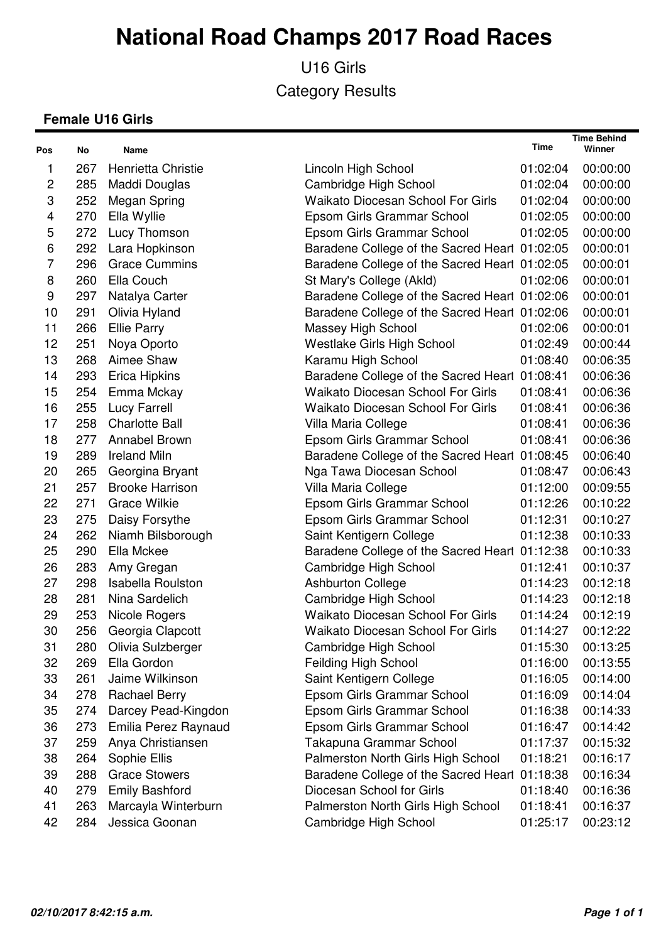U16 Girls Category Results

#### **Female U16 Girls**

| Pos            | No  | Name                     |                                               | Time     | <b>Time Behind</b><br>Winner |
|----------------|-----|--------------------------|-----------------------------------------------|----------|------------------------------|
| 1              | 267 | Henrietta Christie       | Lincoln High School                           | 01:02:04 | 00:00:00                     |
| $\overline{c}$ | 285 | Maddi Douglas            | Cambridge High School                         | 01:02:04 | 00:00:00                     |
| 3              | 252 | Megan Spring             | <b>Waikato Diocesan School For Girls</b>      | 01:02:04 | 00:00:00                     |
| 4              | 270 | Ella Wyllie              | Epsom Girls Grammar School                    | 01:02:05 | 00:00:00                     |
| 5              | 272 | Lucy Thomson             | Epsom Girls Grammar School                    | 01:02:05 | 00:00:00                     |
| 6              | 292 | Lara Hopkinson           | Baradene College of the Sacred Heart 01:02:05 |          | 00:00:01                     |
| 7              | 296 | <b>Grace Cummins</b>     | Baradene College of the Sacred Heart 01:02:05 |          | 00:00:01                     |
| 8              | 260 | Ella Couch               | St Mary's College (Akld)                      | 01:02:06 | 00:00:01                     |
| 9              | 297 | Natalya Carter           | Baradene College of the Sacred Heart 01:02:06 |          | 00:00:01                     |
| 10             | 291 | Olivia Hyland            | Baradene College of the Sacred Heart 01:02:06 |          | 00:00:01                     |
| 11             | 266 | <b>Ellie Parry</b>       | Massey High School                            | 01:02:06 | 00:00:01                     |
| 12             | 251 | Noya Oporto              | Westlake Girls High School                    | 01:02:49 | 00:00:44                     |
| 13             | 268 | Aimee Shaw               | Karamu High School                            | 01:08:40 | 00:06:35                     |
| 14             | 293 | <b>Erica Hipkins</b>     | Baradene College of the Sacred Heart 01:08:41 |          | 00:06:36                     |
| 15             | 254 | Emma Mckay               | <b>Waikato Diocesan School For Girls</b>      | 01:08:41 | 00:06:36                     |
| 16             | 255 | <b>Lucy Farrell</b>      | <b>Waikato Diocesan School For Girls</b>      | 01:08:41 | 00:06:36                     |
| 17             | 258 | <b>Charlotte Ball</b>    | Villa Maria College                           | 01:08:41 | 00:06:36                     |
| 18             | 277 | Annabel Brown            | Epsom Girls Grammar School                    | 01:08:41 | 00:06:36                     |
| 19             | 289 | <b>Ireland Miln</b>      | Baradene College of the Sacred Heart 01:08:45 |          | 00:06:40                     |
| 20             | 265 | Georgina Bryant          | Nga Tawa Diocesan School                      | 01:08:47 | 00:06:43                     |
| 21             | 257 | <b>Brooke Harrison</b>   | Villa Maria College                           | 01:12:00 | 00:09:55                     |
| 22             | 271 | <b>Grace Wilkie</b>      | Epsom Girls Grammar School                    | 01:12:26 | 00:10:22                     |
| 23             | 275 | Daisy Forsythe           | Epsom Girls Grammar School                    | 01:12:31 | 00:10:27                     |
| 24             | 262 | Niamh Bilsborough        | Saint Kentigern College                       | 01:12:38 | 00:10:33                     |
| 25             | 290 | Ella Mckee               | Baradene College of the Sacred Heart 01:12:38 |          | 00:10:33                     |
| 26             | 283 | Amy Gregan               | Cambridge High School                         | 01:12:41 | 00:10:37                     |
| 27             | 298 | <b>Isabella Roulston</b> | <b>Ashburton College</b>                      | 01:14:23 | 00:12:18                     |
| 28             | 281 | Nina Sardelich           | Cambridge High School                         | 01:14:23 | 00:12:18                     |
| 29             | 253 | Nicole Rogers            | <b>Waikato Diocesan School For Girls</b>      | 01:14:24 | 00:12:19                     |
| 30             | 256 | Georgia Clapcott         | <b>Waikato Diocesan School For Girls</b>      | 01:14:27 | 00:12:22                     |
| 31             | 280 | Olivia Sulzberger        | Cambridge High School                         | 01:15:30 | 00:13:25                     |
| 32             | 269 | Ella Gordon              | Feilding High School                          | 01:16:00 | 00:13:55                     |
| 33             | 261 | Jaime Wilkinson          | Saint Kentigern College                       | 01:16:05 | 00:14:00                     |
| 34             | 278 | <b>Rachael Berry</b>     | Epsom Girls Grammar School                    | 01:16:09 | 00:14:04                     |
| 35             | 274 | Darcey Pead-Kingdon      | Epsom Girls Grammar School                    | 01:16:38 | 00:14:33                     |
| 36             | 273 | Emilia Perez Raynaud     | Epsom Girls Grammar School                    | 01:16:47 | 00:14:42                     |
| 37             | 259 | Anya Christiansen        | Takapuna Grammar School                       | 01:17:37 | 00:15:32                     |
| 38             | 264 | Sophie Ellis             | Palmerston North Girls High School            | 01:18:21 | 00:16:17                     |
| 39             | 288 | <b>Grace Stowers</b>     | Baradene College of the Sacred Heart          | 01:18:38 | 00:16:34                     |
| 40             | 279 | <b>Emily Bashford</b>    | Diocesan School for Girls                     | 01:18:40 | 00:16:36                     |
| 41             | 263 | Marcayla Winterburn      | Palmerston North Girls High School            | 01:18:41 | 00:16:37                     |
| 42             | 284 | Jessica Goonan           | Cambridge High School                         | 01:25:17 | 00:23:12                     |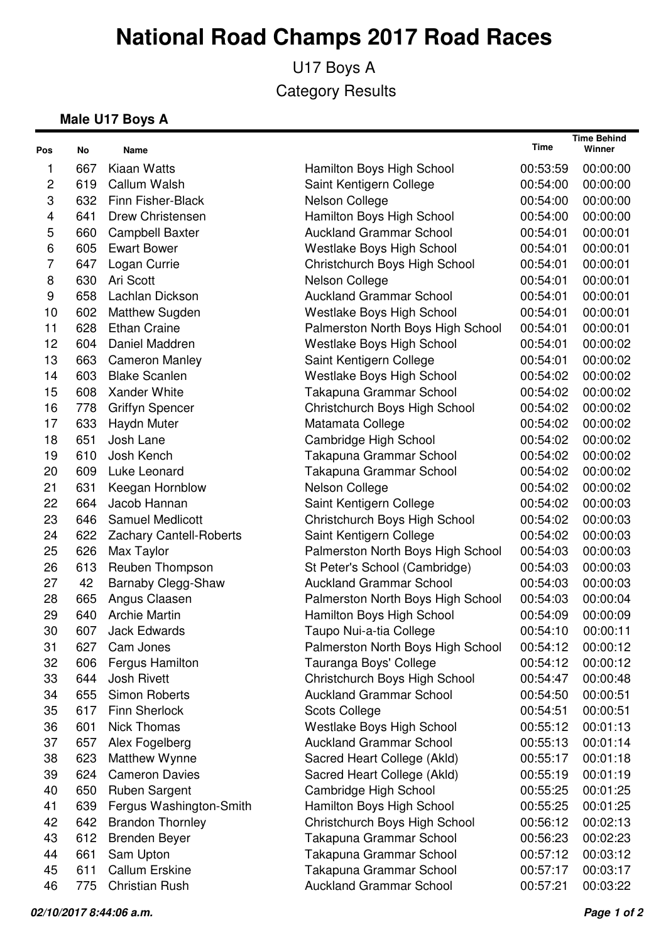U17 Boys A Category Results

#### **Male U17 Boys A**

| Pos          | No  | Name                           |                                   | Time     | <b>Time Behind</b><br>Winner |
|--------------|-----|--------------------------------|-----------------------------------|----------|------------------------------|
| 1            | 667 | <b>Kiaan Watts</b>             | Hamilton Boys High School         | 00:53:59 | 00:00:00                     |
| $\mathbf{2}$ | 619 | Callum Walsh                   | Saint Kentigern College           | 00:54:00 | 00:00:00                     |
| 3            | 632 | Finn Fisher-Black              | Nelson College                    | 00:54:00 | 00:00:00                     |
| 4            | 641 | <b>Drew Christensen</b>        | Hamilton Boys High School         | 00:54:00 | 00:00:00                     |
| 5            | 660 | <b>Campbell Baxter</b>         | <b>Auckland Grammar School</b>    | 00:54:01 | 00:00:01                     |
| 6            | 605 | <b>Ewart Bower</b>             | Westlake Boys High School         | 00:54:01 | 00:00:01                     |
| 7            | 647 | Logan Currie                   | Christchurch Boys High School     | 00:54:01 | 00:00:01                     |
| 8            | 630 | Ari Scott                      | Nelson College                    | 00:54:01 | 00:00:01                     |
| 9            | 658 | Lachlan Dickson                | <b>Auckland Grammar School</b>    | 00:54:01 | 00:00:01                     |
| 10           | 602 | Matthew Sugden                 | <b>Westlake Boys High School</b>  | 00:54:01 | 00:00:01                     |
| 11           | 628 | <b>Ethan Craine</b>            | Palmerston North Boys High School | 00:54:01 | 00:00:01                     |
| 12           | 604 | Daniel Maddren                 | Westlake Boys High School         | 00:54:01 | 00:00:02                     |
| 13           | 663 | <b>Cameron Manley</b>          | Saint Kentigern College           | 00:54:01 | 00:00:02                     |
| 14           | 603 | <b>Blake Scanlen</b>           | Westlake Boys High School         | 00:54:02 | 00:00:02                     |
| 15           | 608 | Xander White                   | Takapuna Grammar School           | 00:54:02 | 00:00:02                     |
| 16           | 778 | <b>Griffyn Spencer</b>         | Christchurch Boys High School     | 00:54:02 | 00:00:02                     |
| 17           | 633 | Haydn Muter                    | Matamata College                  | 00:54:02 | 00:00:02                     |
| 18           | 651 | Josh Lane                      | Cambridge High School             | 00:54:02 | 00:00:02                     |
| 19           | 610 | Josh Kench                     | Takapuna Grammar School           | 00:54:02 | 00:00:02                     |
| 20           | 609 | Luke Leonard                   | Takapuna Grammar School           | 00:54:02 | 00:00:02                     |
| 21           | 631 | Keegan Hornblow                | Nelson College                    | 00:54:02 | 00:00:02                     |
| 22           | 664 | Jacob Hannan                   | Saint Kentigern College           | 00:54:02 | 00:00:03                     |
| 23           | 646 | <b>Samuel Medlicott</b>        | Christchurch Boys High School     | 00:54:02 | 00:00:03                     |
| 24           | 622 | <b>Zachary Cantell-Roberts</b> | Saint Kentigern College           | 00:54:02 | 00:00:03                     |
| 25           | 626 | Max Taylor                     | Palmerston North Boys High School | 00:54:03 | 00:00:03                     |
| 26           | 613 | Reuben Thompson                | St Peter's School (Cambridge)     | 00:54:03 | 00:00:03                     |
| 27           | 42  | Barnaby Clegg-Shaw             | <b>Auckland Grammar School</b>    | 00:54:03 | 00:00:03                     |
| 28           | 665 | Angus Claasen                  | Palmerston North Boys High School | 00:54:03 | 00:00:04                     |
| 29           | 640 | <b>Archie Martin</b>           | Hamilton Boys High School         | 00:54:09 | 00:00:09                     |
| 30           | 607 | <b>Jack Edwards</b>            | Taupo Nui-a-tia College           | 00:54:10 | 00:00:11                     |
| 31           | 627 | Cam Jones                      | Palmerston North Boys High School | 00:54:12 | 00:00:12                     |
| 32           | 606 | <b>Fergus Hamilton</b>         | Tauranga Boys' College            | 00:54:12 | 00:00:12                     |
| 33           | 644 | <b>Josh Rivett</b>             | Christchurch Boys High School     | 00:54:47 | 00:00:48                     |
| 34           | 655 | <b>Simon Roberts</b>           | <b>Auckland Grammar School</b>    | 00:54:50 | 00:00:51                     |
| 35           | 617 | Finn Sherlock                  | <b>Scots College</b>              | 00:54:51 | 00:00:51                     |
| 36           | 601 | <b>Nick Thomas</b>             | Westlake Boys High School         | 00:55:12 | 00:01:13                     |
| 37           | 657 | Alex Fogelberg                 | <b>Auckland Grammar School</b>    | 00:55:13 | 00:01:14                     |
| 38           | 623 | Matthew Wynne                  | Sacred Heart College (Akld)       | 00:55:17 | 00:01:18                     |
| 39           | 624 | <b>Cameron Davies</b>          | Sacred Heart College (Akld)       | 00:55:19 | 00:01:19                     |
| 40           | 650 | <b>Ruben Sargent</b>           | Cambridge High School             | 00:55:25 | 00:01:25                     |
| 41           | 639 | Fergus Washington-Smith        | Hamilton Boys High School         | 00:55:25 | 00:01:25                     |
| 42           | 642 | <b>Brandon Thornley</b>        | Christchurch Boys High School     | 00:56:12 | 00:02:13                     |
| 43           | 612 | <b>Brenden Beyer</b>           | Takapuna Grammar School           | 00:56:23 | 00:02:23                     |
| 44           | 661 | Sam Upton                      | Takapuna Grammar School           | 00:57:12 | 00:03:12                     |
| 45           | 611 | <b>Callum Erskine</b>          | Takapuna Grammar School           | 00:57:17 | 00:03:17                     |
| 46           | 775 | <b>Christian Rush</b>          | <b>Auckland Grammar School</b>    | 00:57:21 | 00:03:22                     |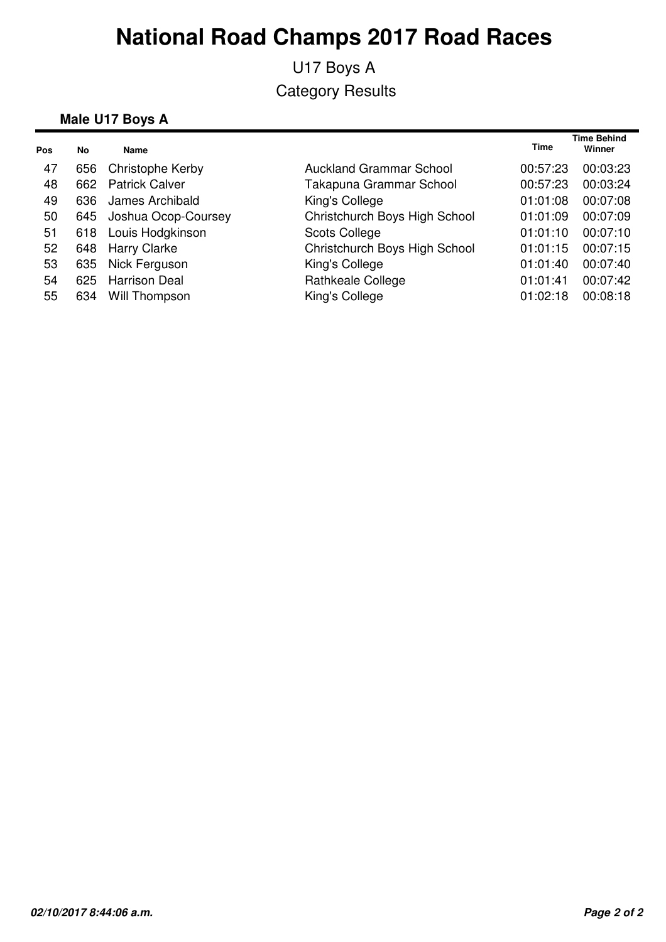U17 Boys A Category Results

#### **Male U17 Boys A**

| Pos | No  | Name                    |                                | <b>Time</b> | <b>Time Behind</b><br>Winner |
|-----|-----|-------------------------|--------------------------------|-------------|------------------------------|
| 47  | 656 | Christophe Kerby        | <b>Auckland Grammar School</b> | 00:57:23    | 00:03:23                     |
| 48  | 662 | <b>Patrick Calver</b>   | Takapuna Grammar School        | 00:57:23    | 00:03:24                     |
| 49  | 636 | James Archibald         | King's College                 | 01:01:08    | 00:07:08                     |
| 50  |     | 645 Joshua Ocop-Coursey | Christchurch Boys High School  | 01:01:09    | 00:07:09                     |
| 51  | 618 | Louis Hodgkinson        | <b>Scots College</b>           | 01:01:10    | 00:07:10                     |
| 52  | 648 | <b>Harry Clarke</b>     | Christchurch Boys High School  | 01:01:15    | 00:07:15                     |
| 53  | 635 | Nick Ferguson           | King's College                 | 01:01:40    | 00:07:40                     |
| 54  | 625 | <b>Harrison Deal</b>    | Rathkeale College              | 01:01:41    | 00:07:42                     |
| 55  | 634 | Will Thompson           | King's College                 | 01:02:18    | 00:08:18                     |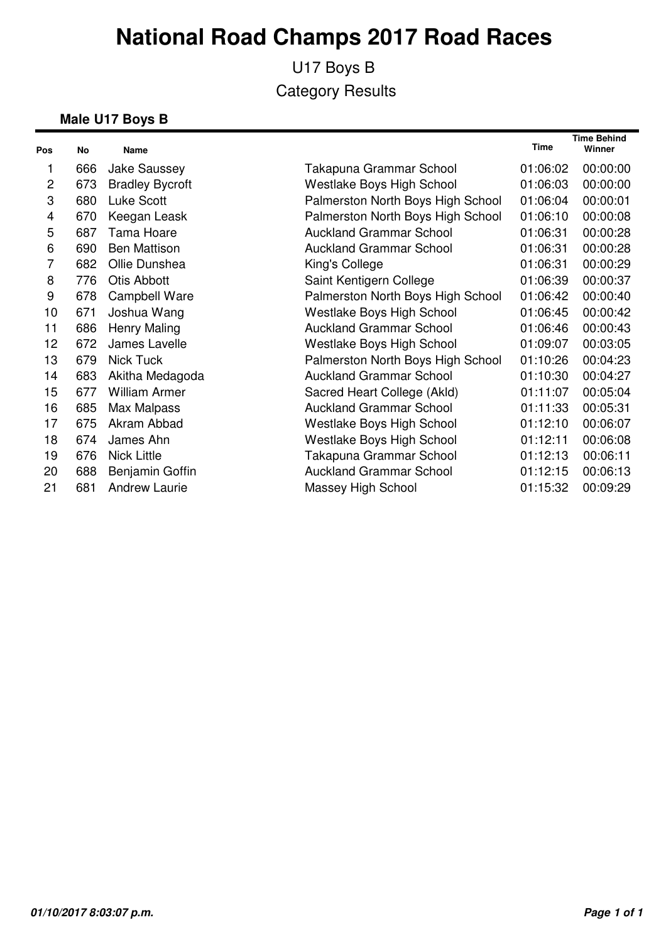U17 Boys B Category Results

#### **Male U17 Boys B**

| Pos            | <b>No</b> | <b>Name</b>            |                                   | <b>Time</b> | <b>Time Behind</b><br>Winner |
|----------------|-----------|------------------------|-----------------------------------|-------------|------------------------------|
|                | 666       | <b>Jake Saussey</b>    | Takapuna Grammar School           | 01:06:02    | 00:00:00                     |
| $\overline{c}$ | 673       | <b>Bradley Bycroft</b> | Westlake Boys High School         | 01:06:03    | 00:00:00                     |
| 3              | 680       | Luke Scott             | Palmerston North Boys High School | 01:06:04    | 00:00:01                     |
| 4              | 670       | Keegan Leask           | Palmerston North Boys High School | 01:06:10    | 00:00:08                     |
| 5              | 687       | <b>Tama Hoare</b>      | <b>Auckland Grammar School</b>    | 01:06:31    | 00:00:28                     |
| 6              | 690       | <b>Ben Mattison</b>    | <b>Auckland Grammar School</b>    | 01:06:31    | 00:00:28                     |
| 7              | 682       | Ollie Dunshea          | King's College                    | 01:06:31    | 00:00:29                     |
| 8              | 776       | Otis Abbott            | Saint Kentigern College           | 01:06:39    | 00:00:37                     |
| 9              | 678       | <b>Campbell Ware</b>   | Palmerston North Boys High School | 01:06:42    | 00:00:40                     |
| 10             | 671       | Joshua Wang            | Westlake Boys High School         | 01:06:45    | 00:00:42                     |
| 11             | 686       | Henry Maling           | <b>Auckland Grammar School</b>    | 01:06:46    | 00:00:43                     |
| 12             | 672       | James Lavelle          | Westlake Boys High School         | 01:09:07    | 00:03:05                     |
| 13             | 679       | Nick Tuck              | Palmerston North Boys High School | 01:10:26    | 00:04:23                     |
| 14             | 683       | Akitha Medagoda        | <b>Auckland Grammar School</b>    | 01:10:30    | 00:04:27                     |
| 15             | 677       | <b>William Armer</b>   | Sacred Heart College (Akld)       | 01:11:07    | 00:05:04                     |
| 16             | 685       | Max Malpass            | <b>Auckland Grammar School</b>    | 01:11:33    | 00:05:31                     |
| 17             | 675       | Akram Abbad            | Westlake Boys High School         | 01:12:10    | 00:06:07                     |
| 18             | 674       | James Ahn              | Westlake Boys High School         | 01:12:11    | 00:06:08                     |
| 19             | 676       | <b>Nick Little</b>     | Takapuna Grammar School           | 01:12:13    | 00:06:11                     |
| 20             | 688       | Benjamin Goffin        | <b>Auckland Grammar School</b>    | 01:12:15    | 00:06:13                     |
| 21             | 681       | <b>Andrew Laurie</b>   | Massey High School                | 01:15:32    | 00:09:29                     |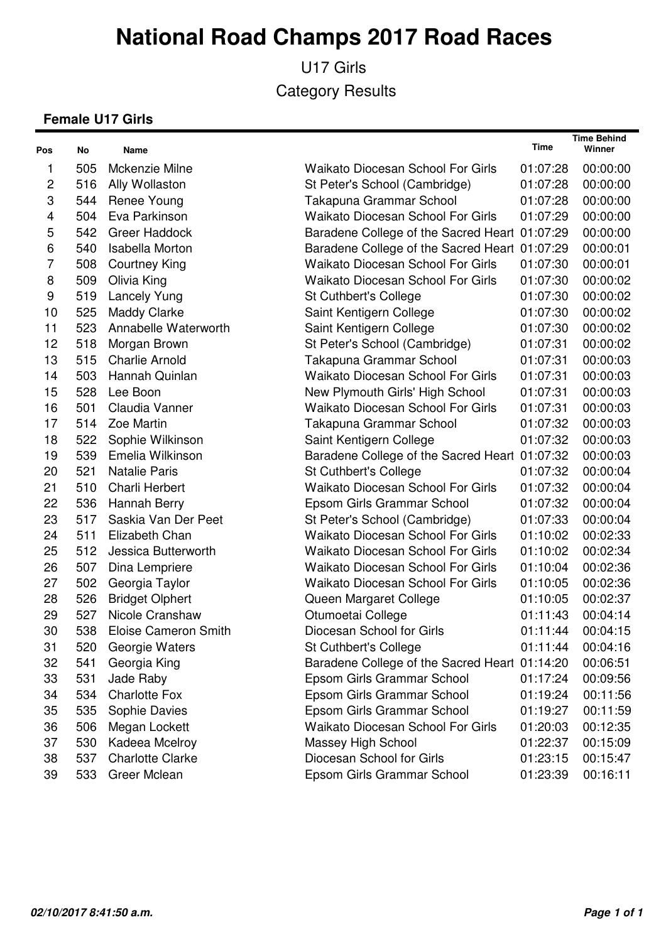U17 Girls Category Results

#### **Female U17 Girls**

| Pos            | No  | Name                        |                                               | Time     | <b>Time Behind</b><br>Winner |
|----------------|-----|-----------------------------|-----------------------------------------------|----------|------------------------------|
| 1              | 505 | Mckenzie Milne              | <b>Waikato Diocesan School For Girls</b>      | 01:07:28 | 00:00:00                     |
| $\overline{c}$ | 516 | Ally Wollaston              | St Peter's School (Cambridge)                 | 01:07:28 | 00:00:00                     |
| 3              | 544 | Renee Young                 | Takapuna Grammar School                       | 01:07:28 | 00:00:00                     |
| 4              | 504 | Eva Parkinson               | <b>Waikato Diocesan School For Girls</b>      | 01:07:29 | 00:00:00                     |
| 5              | 542 | <b>Greer Haddock</b>        | Baradene College of the Sacred Heart 01:07:29 |          | 00:00:00                     |
| 6              | 540 | <b>Isabella Morton</b>      | Baradene College of the Sacred Heart 01:07:29 |          | 00:00:01                     |
| 7              | 508 | <b>Courtney King</b>        | <b>Waikato Diocesan School For Girls</b>      | 01:07:30 | 00:00:01                     |
| 8              | 509 | Olivia King                 | <b>Waikato Diocesan School For Girls</b>      | 01:07:30 | 00:00:02                     |
| 9              | 519 | <b>Lancely Yung</b>         | <b>St Cuthbert's College</b>                  | 01:07:30 | 00:00:02                     |
| 10             | 525 | <b>Maddy Clarke</b>         | Saint Kentigern College                       | 01:07:30 | 00:00:02                     |
| 11             | 523 | Annabelle Waterworth        | Saint Kentigern College                       | 01:07:30 | 00:00:02                     |
| 12             | 518 | Morgan Brown                | St Peter's School (Cambridge)                 | 01:07:31 | 00:00:02                     |
| 13             | 515 | <b>Charlie Arnold</b>       | Takapuna Grammar School                       | 01:07:31 | 00:00:03                     |
| 14             | 503 | Hannah Quinlan              | <b>Waikato Diocesan School For Girls</b>      | 01:07:31 | 00:00:03                     |
| 15             | 528 | Lee Boon                    | New Plymouth Girls' High School               | 01:07:31 | 00:00:03                     |
| 16             | 501 | Claudia Vanner              | <b>Waikato Diocesan School For Girls</b>      | 01:07:31 | 00:00:03                     |
| 17             | 514 | Zoe Martin                  | Takapuna Grammar School                       | 01:07:32 | 00:00:03                     |
| 18             | 522 | Sophie Wilkinson            | Saint Kentigern College                       | 01:07:32 | 00:00:03                     |
| 19             | 539 | Emelia Wilkinson            | Baradene College of the Sacred Heart 01:07:32 |          | 00:00:03                     |
| 20             | 521 | <b>Natalie Paris</b>        | St Cuthbert's College                         | 01:07:32 | 00:00:04                     |
| 21             | 510 | Charli Herbert              | <b>Waikato Diocesan School For Girls</b>      | 01:07:32 | 00:00:04                     |
| 22             | 536 | Hannah Berry                | Epsom Girls Grammar School                    | 01:07:32 | 00:00:04                     |
| 23             | 517 | Saskia Van Der Peet         | St Peter's School (Cambridge)                 | 01:07:33 | 00:00:04                     |
| 24             | 511 | Elizabeth Chan              | <b>Waikato Diocesan School For Girls</b>      | 01:10:02 | 00:02:33                     |
| 25             | 512 | Jessica Butterworth         | <b>Waikato Diocesan School For Girls</b>      | 01:10:02 | 00:02:34                     |
| 26             | 507 | Dina Lempriere              | <b>Waikato Diocesan School For Girls</b>      | 01:10:04 | 00:02:36                     |
| 27             | 502 | Georgia Taylor              | <b>Waikato Diocesan School For Girls</b>      | 01:10:05 | 00:02:36                     |
| 28             | 526 | <b>Bridget Olphert</b>      | Queen Margaret College                        | 01:10:05 | 00:02:37                     |
| 29             | 527 | Nicole Cranshaw             | Otumoetai College                             | 01:11:43 | 00:04:14                     |
| 30             | 538 | <b>Eloise Cameron Smith</b> | Diocesan School for Girls                     | 01:11:44 | 00:04:15                     |
| 31             | 520 | Georgie Waters              | <b>St Cuthbert's College</b>                  | 01:11:44 | 00:04:16                     |
| 32             | 541 | Georgia King                | Baradene College of the Sacred Heart 01:14:20 |          | 00:06:51                     |
| 33             | 531 | Jade Raby                   | Epsom Girls Grammar School                    | 01:17:24 | 00:09:56                     |
| 34             | 534 | <b>Charlotte Fox</b>        | Epsom Girls Grammar School                    | 01:19:24 | 00:11:56                     |
| 35             | 535 | Sophie Davies               | Epsom Girls Grammar School                    | 01:19:27 | 00:11:59                     |
| 36             | 506 | Megan Lockett               | <b>Waikato Diocesan School For Girls</b>      | 01:20:03 | 00:12:35                     |
| 37             | 530 | Kadeea Mcelroy              | Massey High School                            | 01:22:37 | 00:15:09                     |
| 38             | 537 | <b>Charlotte Clarke</b>     | Diocesan School for Girls                     | 01:23:15 | 00:15:47                     |
| 39             | 533 | Greer Mclean                | Epsom Girls Grammar School                    | 01:23:39 | 00:16:11                     |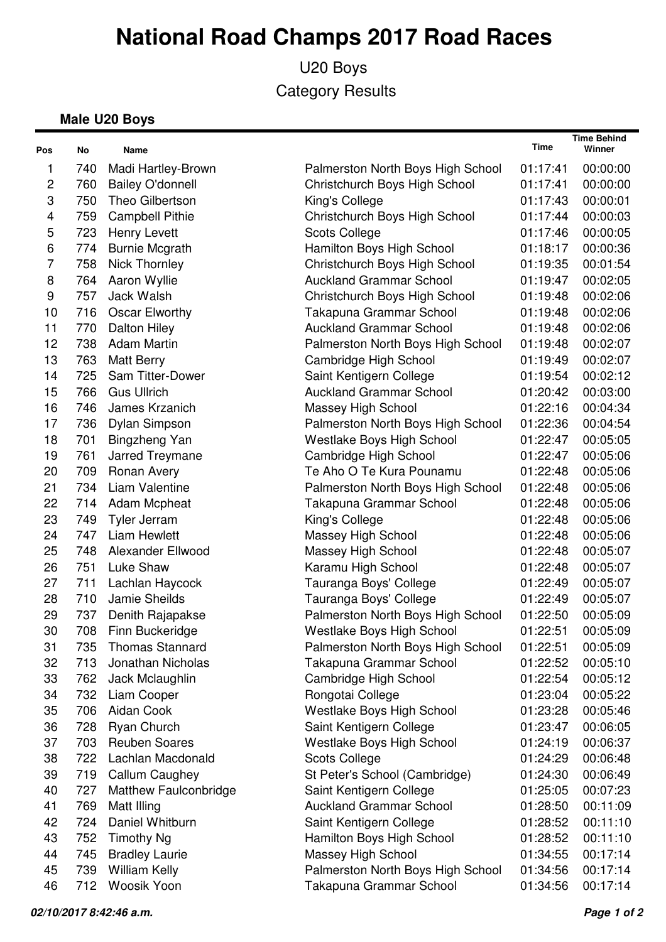U20 Boys Category Results

#### **Male U20 Boys**

| Pos            | No  | Name                    |                                   | Time     | <b>Time Behind</b><br>Winner |
|----------------|-----|-------------------------|-----------------------------------|----------|------------------------------|
| 1              | 740 | Madi Hartley-Brown      | Palmerston North Boys High School | 01:17:41 | 00:00:00                     |
| $\mathbf{2}$   | 760 | <b>Bailey O'donnell</b> | Christchurch Boys High School     | 01:17:41 | 00:00:00                     |
| 3              | 750 | Theo Gilbertson         | King's College                    | 01:17:43 | 00:00:01                     |
| 4              | 759 | <b>Campbell Pithie</b>  | Christchurch Boys High School     | 01:17:44 | 00:00:03                     |
| 5              | 723 | <b>Henry Levett</b>     | <b>Scots College</b>              | 01:17:46 | 00:00:05                     |
| 6              | 774 | <b>Burnie Mcgrath</b>   | Hamilton Boys High School         | 01:18:17 | 00:00:36                     |
| $\overline{7}$ | 758 | <b>Nick Thornley</b>    | Christchurch Boys High School     | 01:19:35 | 00:01:54                     |
| 8              | 764 | Aaron Wyllie            | <b>Auckland Grammar School</b>    | 01:19:47 | 00:02:05                     |
| 9              | 757 | Jack Walsh              | Christchurch Boys High School     | 01:19:48 | 00:02:06                     |
| 10             | 716 | Oscar Elworthy          | Takapuna Grammar School           | 01:19:48 | 00:02:06                     |
| 11             | 770 | Dalton Hiley            | <b>Auckland Grammar School</b>    | 01:19:48 | 00:02:06                     |
| 12             | 738 | <b>Adam Martin</b>      | Palmerston North Boys High School | 01:19:48 | 00:02:07                     |
| 13             | 763 | <b>Matt Berry</b>       | Cambridge High School             | 01:19:49 | 00:02:07                     |
| 14             | 725 | Sam Titter-Dower        | Saint Kentigern College           | 01:19:54 | 00:02:12                     |
| 15             | 766 | <b>Gus Ullrich</b>      | <b>Auckland Grammar School</b>    | 01:20:42 | 00:03:00                     |
| 16             | 746 | James Krzanich          | Massey High School                | 01:22:16 | 00:04:34                     |
| 17             | 736 | Dylan Simpson           | Palmerston North Boys High School | 01:22:36 | 00:04:54                     |
| 18             | 701 | Bingzheng Yan           | Westlake Boys High School         | 01:22:47 | 00:05:05                     |
| 19             | 761 | Jarred Treymane         | Cambridge High School             | 01:22:47 | 00:05:06                     |
| 20             | 709 | Ronan Avery             | Te Aho O Te Kura Pounamu          | 01:22:48 | 00:05:06                     |
| 21             | 734 | Liam Valentine          | Palmerston North Boys High School | 01:22:48 | 00:05:06                     |
| 22             | 714 | Adam Mcpheat            | Takapuna Grammar School           | 01:22:48 | 00:05:06                     |
| 23             | 749 | Tyler Jerram            | King's College                    | 01:22:48 | 00:05:06                     |
| 24             | 747 | <b>Liam Hewlett</b>     | Massey High School                | 01:22:48 | 00:05:06                     |
| 25             | 748 | Alexander Ellwood       | Massey High School                | 01:22:48 | 00:05:07                     |
| 26             | 751 | Luke Shaw               | Karamu High School                | 01:22:48 | 00:05:07                     |
| 27             | 711 | Lachlan Haycock         | Tauranga Boys' College            | 01:22:49 | 00:05:07                     |
| 28             | 710 | Jamie Sheilds           | Tauranga Boys' College            | 01:22:49 | 00:05:07                     |
| 29             | 737 | Denith Rajapakse        | Palmerston North Boys High School | 01:22:50 | 00:05:09                     |
| 30             | 708 | Finn Buckeridge         | Westlake Boys High School         | 01:22:51 | 00:05:09                     |
| 31             | 735 | <b>Thomas Stannard</b>  | Palmerston North Boys High School | 01:22:51 | 00:05:09                     |
| 32             | 713 | Jonathan Nicholas       | Takapuna Grammar School           | 01:22:52 | 00:05:10                     |
| 33             | 762 | Jack Mclaughlin         | Cambridge High School             | 01:22:54 | 00:05:12                     |
| 34             | 732 | Liam Cooper             | Rongotai College                  | 01:23:04 | 00:05:22                     |
| 35             | 706 | Aidan Cook              | Westlake Boys High School         | 01:23:28 | 00:05:46                     |
| 36             | 728 | Ryan Church             | Saint Kentigern College           | 01:23:47 | 00:06:05                     |
| 37             | 703 | <b>Reuben Soares</b>    | Westlake Boys High School         | 01:24:19 | 00:06:37                     |
| 38             | 722 | Lachlan Macdonald       | <b>Scots College</b>              | 01:24:29 | 00:06:48                     |
| 39             | 719 | Callum Caughey          | St Peter's School (Cambridge)     | 01:24:30 | 00:06:49                     |
| 40             | 727 | Matthew Faulconbridge   | Saint Kentigern College           | 01:25:05 | 00:07:23                     |
| 41             | 769 | Matt Illing             | <b>Auckland Grammar School</b>    | 01:28:50 | 00:11:09                     |
| 42             | 724 | Daniel Whitburn         | Saint Kentigern College           | 01:28:52 | 00:11:10                     |
| 43             | 752 | Timothy Ng              | Hamilton Boys High School         | 01:28:52 | 00:11:10                     |
| 44             | 745 | <b>Bradley Laurie</b>   | Massey High School                | 01:34:55 | 00:17:14                     |
| 45             | 739 | <b>William Kelly</b>    | Palmerston North Boys High School | 01:34:56 | 00:17:14                     |
| 46             | 712 | Woosik Yoon             | Takapuna Grammar School           | 01:34:56 | 00:17:14                     |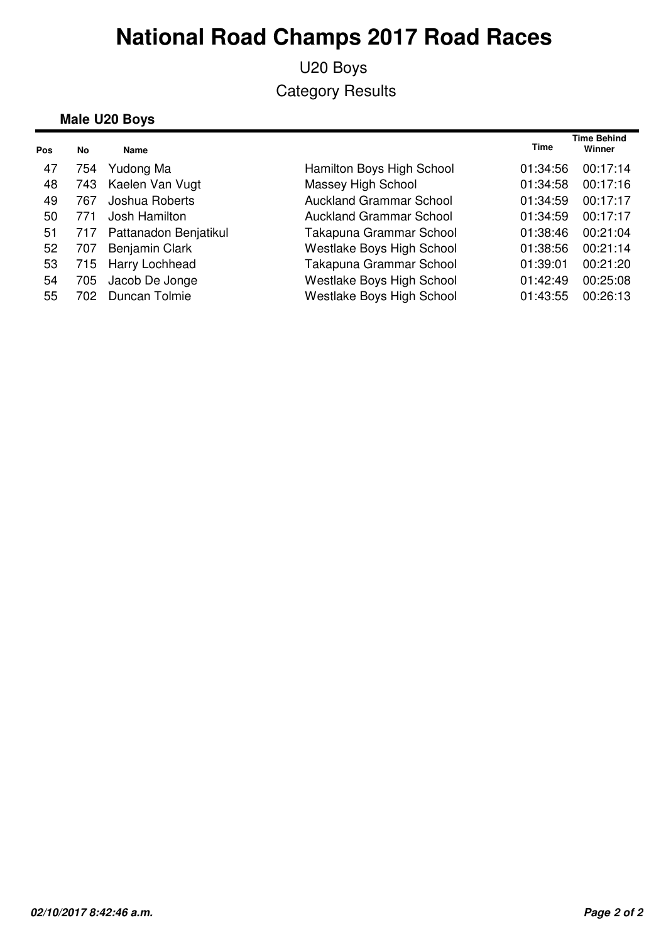### U20 Boys Category Results

#### **Male U20 Boys**

| Pos | No   | Name                  |                                  | <b>Time</b> | <b>Time Behind</b><br>Winner |
|-----|------|-----------------------|----------------------------------|-------------|------------------------------|
| 47  | 754  | Yudong Ma             | Hamilton Boys High School        | 01:34:56    | 00:17:14                     |
| 48  | 743  | Kaelen Van Vugt       | Massey High School               | 01:34:58    | 00:17:16                     |
| 49  | 767  | Joshua Roberts        | <b>Auckland Grammar School</b>   | 01:34:59    | 00:17:17                     |
| 50  | 771  | Josh Hamilton         | <b>Auckland Grammar School</b>   | 01:34:59    | 00:17:17                     |
| 51  | 717  | Pattanadon Benjatikul | Takapuna Grammar School          | 01:38:46    | 00:21:04                     |
| 52  | 707  | <b>Benjamin Clark</b> | Westlake Boys High School        | 01:38:56    | 00:21:14                     |
| 53  |      | 715 Harry Lochhead    | Takapuna Grammar School          | 01:39:01    | 00:21:20                     |
| 54  | 705  | Jacob De Jonge        | Westlake Boys High School        | 01:42:49    | 00:25:08                     |
| 55  | 702. | Duncan Tolmie         | <b>Westlake Boys High School</b> | 01:43:55    | 00:26:13                     |
|     |      |                       |                                  |             |                              |